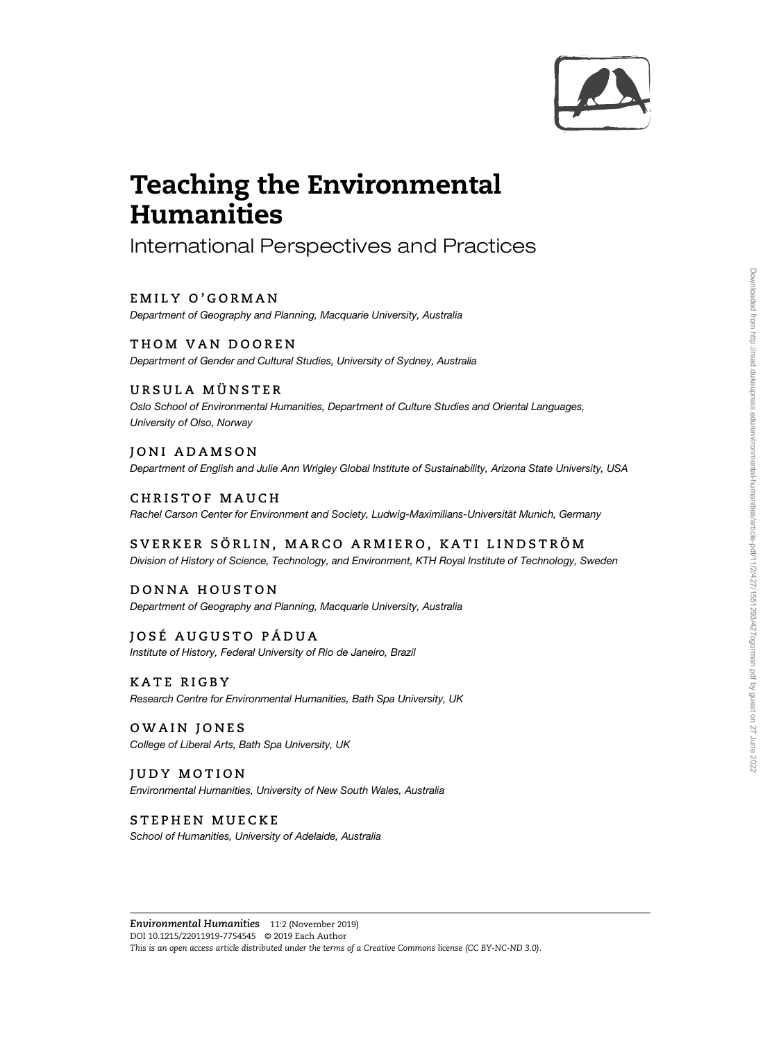

# Teaching the Environmental

<u>- Accessors</u><br>International Perspectives and Practices

EMILY O'GORMAN Department of Geography and Planning, Macquarie University, Australia

THOM VAN DOOREN Department of Gender and Cultural Studies, University of Sydney, Australia

URSULA MÜNSTER Oslo School of Environmental Humanities, Department of Culture Studies and Oriental Languages, University of Olso, Norway

JONI ADAMSON Department of English and Julie Ann Wrigley Global Institute of Sustainability, Arizona State University, USA

CHRISTOF MAUCH Rachel Carson Center for Environment and Society, Ludwig-Maximilians-Universität Munich, Germany

SVERKER SÖRLIN, MARCO ARMIERO, KATI LINDSTRÖM Division of History of Science, Technology, and Environment, KTH Royal Institute of Technology, Sweden

DONNA HOUSTON Department of Geography and Planning, Macquarie University, Australia

JOSÉ AUGUSTO PÁDUA Institute of History, Federal University of Rio de Janeiro, Brazil

KATE RIGBY Research Centre for Environmental Humanities, Bath Spa University, UK

OWAIN JONES College of Liberal Arts, Bath Spa University, UK

JUDY MOTION Environmental Humanities, University of New South Wales, Australia

STEPHEN MUECKE School of Humanities, University of Adelaide, Australia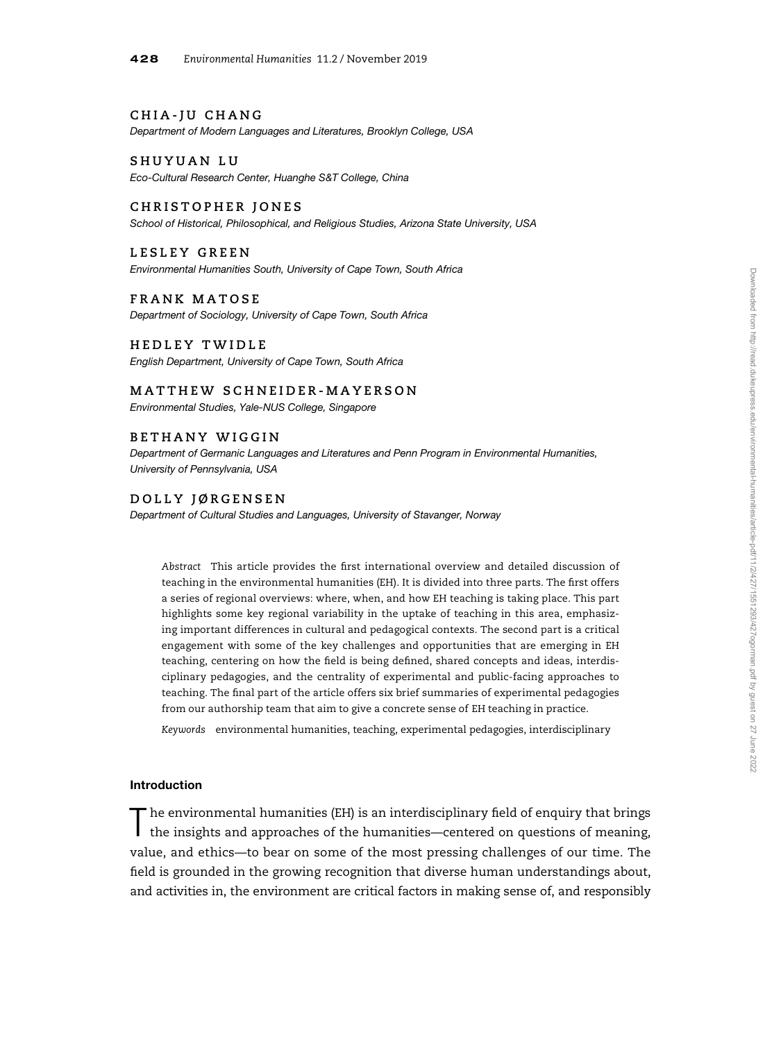## CHIA-JU CHANG

Department of Modern Languages and Literatures, Brooklyn College, USA

SHUYUAN LU

Eco-Cultural Research Center, Huanghe S&T College, China

## CHRISTOPHER JONES

School of Historical, Philosophical, and Religious Studies, Arizona State University, USA

LESLEY GREEN Environmental Humanities South, University of Cape Town, South Africa

FRANK MATOSE

Department of Sociology, University of Cape Town, South Africa

## HEDLEY TWIDLE

English Department, University of Cape Town, South Africa

## MATTHEW SCHNEIDER-MAYERSON

Environmental Studies, Yale-NUS College, Singapore

## BETHANY WIGGIN

Department of Germanic Languages and Literatures and Penn Program in Environmental Humanities, University of Pennsylvania, USA

## DOLLY JØRGENSEN

Department of Cultural Studies and Languages, University of Stavanger, Norway

Abstract This article provides the first international overview and detailed discussion of teaching in the environmental humanities (EH). It is divided into three parts. The first offers a series of regional overviews: where, when, and how EH teaching is taking place. This part highlights some key regional variability in the uptake of teaching in this area, emphasizing important differences in cultural and pedagogical contexts. The second part is a critical engagement with some of the key challenges and opportunities that are emerging in EH teaching, centering on how the field is being defined, shared concepts and ideas, interdisciplinary pedagogies, and the centrality of experimental and public-facing approaches to teaching. The final part of the article offers six brief summaries of experimental pedagogies from our authorship team that aim to give a concrete sense of EH teaching in practice.

Keywords environmental humanities, teaching, experimental pedagogies, interdisciplinary

#### Introduction

T he environmental humanities (EH) is an interdisciplinary field of enquiry that brings the insights and approaches of the humanities—centered on questions of meaning, value, and ethics—to bear on some of the most pressing challenges of our time. The field is grounded in the growing recognition that diverse human understandings about, and activities in, the environment are critical factors in making sense of, and responsibly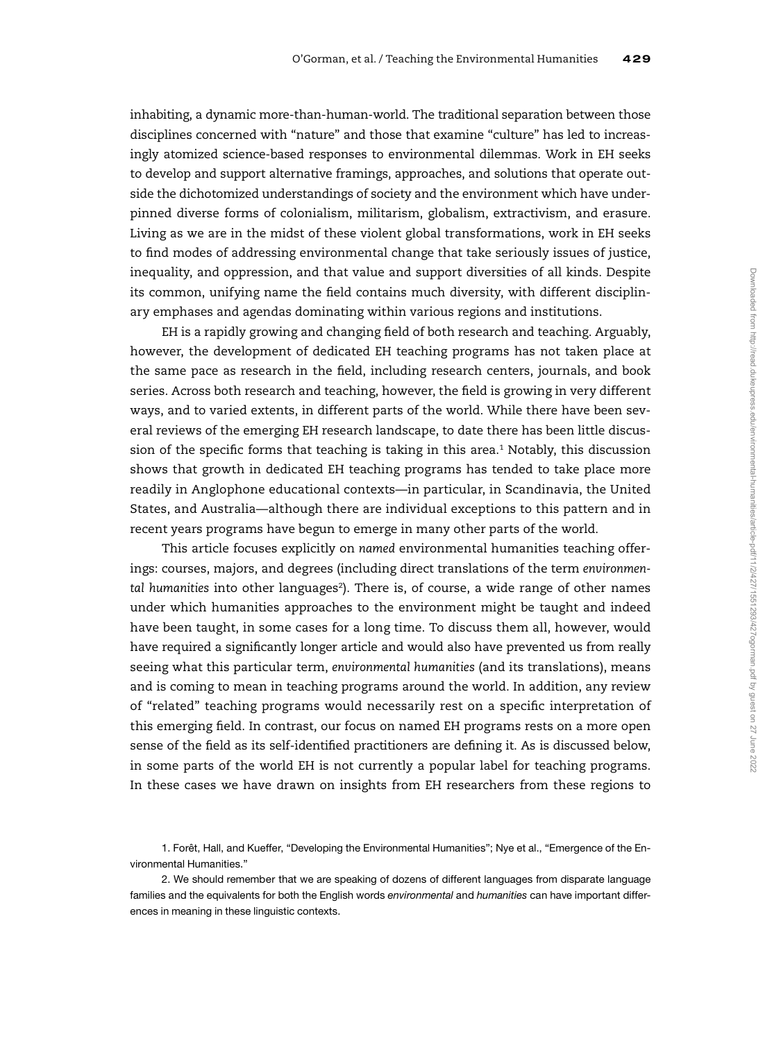inhabiting, a dynamic more-than-human-world. The traditional separation between those disciplines concerned with "nature" and those that examine "culture" has led to increasingly atomized science-based responses to environmental dilemmas. Work in EH seeks to develop and support alternative framings, approaches, and solutions that operate outside the dichotomized understandings of society and the environment which have underpinned diverse forms of colonialism, militarism, globalism, extractivism, and erasure. Living as we are in the midst of these violent global transformations, work in EH seeks to find modes of addressing environmental change that take seriously issues of justice, inequality, and oppression, and that value and support diversities of all kinds. Despite its common, unifying name the field contains much diversity, with different disciplinary emphases and agendas dominating within various regions and institutions.

EH is a rapidly growing and changing field of both research and teaching. Arguably, however, the development of dedicated EH teaching programs has not taken place at the same pace as research in the field, including research centers, journals, and book series. Across both research and teaching, however, the field is growing in very different ways, and to varied extents, in different parts of the world. While there have been several reviews of the emerging EH research landscape, to date there has been little discussion of the specific forms that teaching is taking in this area.<sup>1</sup> Notably, this discussion shows that growth in dedicated EH teaching programs has tended to take place more readily in Anglophone educational contexts—in particular, in Scandinavia, the United States, and Australia—although there are individual exceptions to this pattern and in recent years programs have begun to emerge in many other parts of the world.

This article focuses explicitly on named environmental humanities teaching offerings: courses, majors, and degrees (including direct translations of the term environmental humanities into other languages<sup>2</sup>). There is, of course, a wide range of other names under which humanities approaches to the environment might be taught and indeed have been taught, in some cases for a long time. To discuss them all, however, would have required a significantly longer article and would also have prevented us from really seeing what this particular term, environmental humanities (and its translations), means and is coming to mean in teaching programs around the world. In addition, any review of "related" teaching programs would necessarily rest on a specific interpretation of this emerging field. In contrast, our focus on named EH programs rests on a more open sense of the field as its self-identified practitioners are defining it. As is discussed below, in some parts of the world EH is not currently a popular label for teaching programs. In these cases we have drawn on insights from EH researchers from these regions to

<sup>1.</sup> Forêt, Hall, and Kueffer, "Developing the Environmental Humanities"; Nye et al., "Emergence of the Environmental Humanities."

<sup>2.</sup> We should remember that we are speaking of dozens of different languages from disparate language families and the equivalents for both the English words environmental and humanities can have important differences in meaning in these linguistic contexts.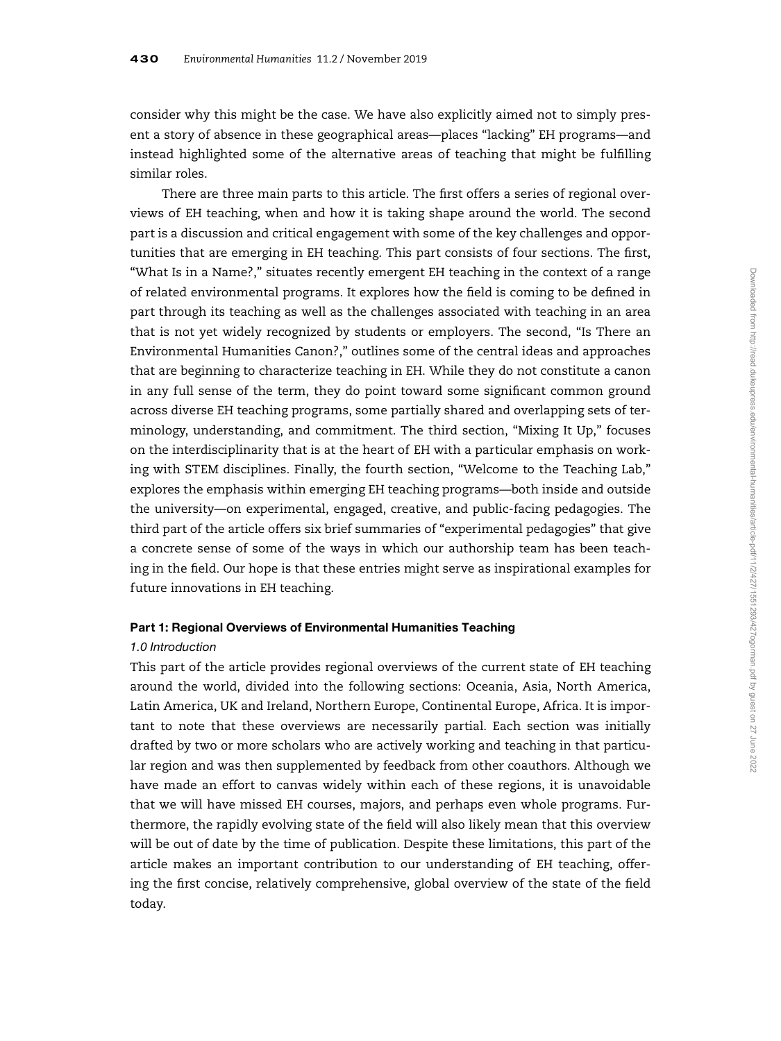consider why this might be the case. We have also explicitly aimed not to simply present a story of absence in these geographical areas—places "lacking" EH programs—and instead highlighted some of the alternative areas of teaching that might be fulfilling similar roles.

There are three main parts to this article. The first offers a series of regional overviews of EH teaching, when and how it is taking shape around the world. The second part is a discussion and critical engagement with some of the key challenges and opportunities that are emerging in EH teaching. This part consists of four sections. The first, "What Is in a Name?," situates recently emergent EH teaching in the context of a range of related environmental programs. It explores how the field is coming to be defined in part through its teaching as well as the challenges associated with teaching in an area that is not yet widely recognized by students or employers. The second, "Is There an Environmental Humanities Canon?," outlines some of the central ideas and approaches that are beginning to characterize teaching in EH. While they do not constitute a canon in any full sense of the term, they do point toward some significant common ground across diverse EH teaching programs, some partially shared and overlapping sets of terminology, understanding, and commitment. The third section, "Mixing It Up," focuses on the interdisciplinarity that is at the heart of EH with a particular emphasis on working with STEM disciplines. Finally, the fourth section, "Welcome to the Teaching Lab," explores the emphasis within emerging EH teaching programs—both inside and outside the university—on experimental, engaged, creative, and public-facing pedagogies. The third part of the article offers six brief summaries of "experimental pedagogies" that give a concrete sense of some of the ways in which our authorship team has been teaching in the field. Our hope is that these entries might serve as inspirational examples for future innovations in EH teaching.

## Part 1: Regional Overviews of Environmental Humanities Teaching

## 1.0 Introduction

This part of the article provides regional overviews of the current state of EH teaching around the world, divided into the following sections: Oceania, Asia, North America, Latin America, UK and Ireland, Northern Europe, Continental Europe, Africa. It is important to note that these overviews are necessarily partial. Each section was initially drafted by two or more scholars who are actively working and teaching in that particular region and was then supplemented by feedback from other coauthors. Although we have made an effort to canvas widely within each of these regions, it is unavoidable that we will have missed EH courses, majors, and perhaps even whole programs. Furthermore, the rapidly evolving state of the field will also likely mean that this overview will be out of date by the time of publication. Despite these limitations, this part of the article makes an important contribution to our understanding of EH teaching, offering the first concise, relatively comprehensive, global overview of the state of the field today.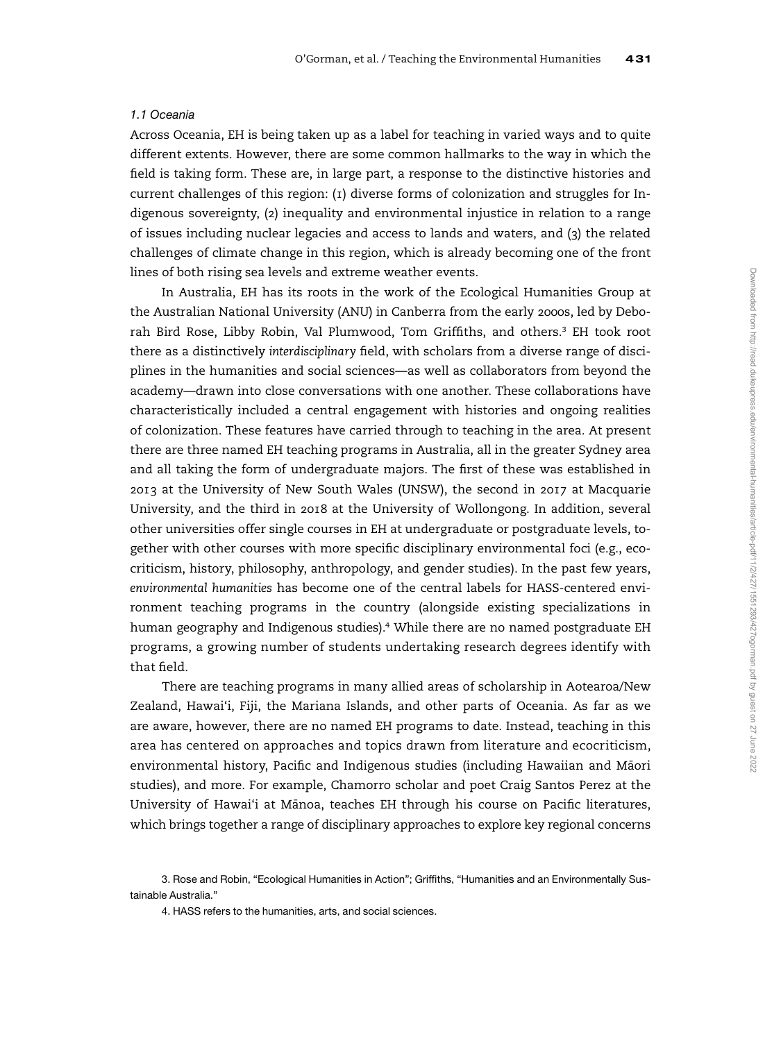## 1.1 Oceania

Across Oceania, EH is being taken up as a label for teaching in varied ways and to quite different extents. However, there are some common hallmarks to the way in which the field is taking form. These are, in large part, a response to the distinctive histories and current challenges of this region: (1) diverse forms of colonization and struggles for Indigenous sovereignty, (2) inequality and environmental injustice in relation to a range of issues including nuclear legacies and access to lands and waters, and (3) the related challenges of climate change in this region, which is already becoming one of the front lines of both rising sea levels and extreme weather events.

In Australia, EH has its roots in the work of the Ecological Humanities Group at the Australian National University (ANU) in Canberra from the early 2000s, led by Deborah Bird Rose, Libby Robin, Val Plumwood, Tom Griffiths, and others.<sup>3</sup> EH took root there as a distinctively interdisciplinary field, with scholars from a diverse range of disciplines in the humanities and social sciences—as well as collaborators from beyond the academy—drawn into close conversations with one another. These collaborations have characteristically included a central engagement with histories and ongoing realities of colonization. These features have carried through to teaching in the area. At present there are three named EH teaching programs in Australia, all in the greater Sydney area and all taking the form of undergraduate majors. The first of these was established in 2013 at the University of New South Wales (UNSW), the second in 2017 at Macquarie University, and the third in 2018 at the University of Wollongong. In addition, several other universities offer single courses in EH at undergraduate or postgraduate levels, together with other courses with more specific disciplinary environmental foci (e.g., ecocriticism, history, philosophy, anthropology, and gender studies). In the past few years, environmental humanities has become one of the central labels for HASS-centered environment teaching programs in the country (alongside existing specializations in human geography and Indigenous studies).<sup>4</sup> While there are no named postgraduate EH programs, a growing number of students undertaking research degrees identify with that field.

There are teaching programs in many allied areas of scholarship in Aotearoa/New Zealand, Hawai'i, Fiji, the Mariana Islands, and other parts of Oceania. As far as we are aware, however, there are no named EH programs to date. Instead, teaching in this area has centered on approaches and topics drawn from literature and ecocriticism, environmental history, Pacific and Indigenous studies (including Hawaiian and Māori studies), and more. For example, Chamorro scholar and poet Craig Santos Perez at the University of Hawai'i at Mānoa, teaches EH through his course on Pacific literatures, which brings together a range of disciplinary approaches to explore key regional concerns

<sup>3.</sup> Rose and Robin, "Ecological Humanities in Action"; Griffiths, "Humanities and an Environmentally Sustainable Australia."

<sup>4.</sup> HASS refers to the humanities, arts, and social sciences.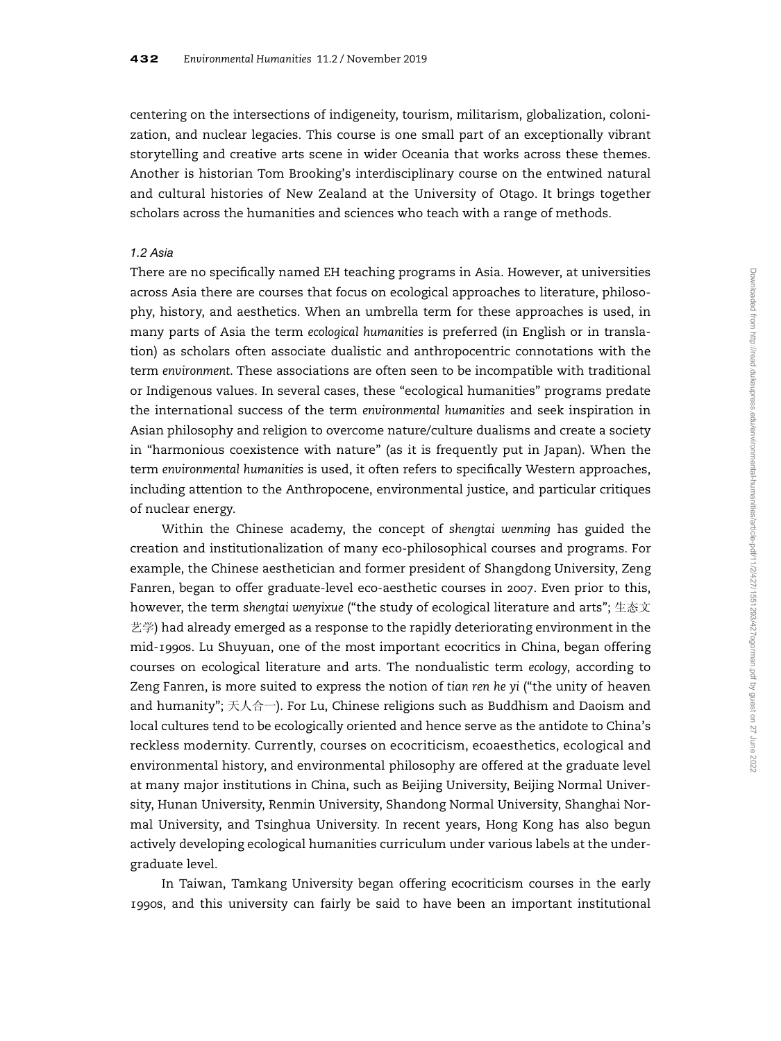centering on the intersections of indigeneity, tourism, militarism, globalization, colonization, and nuclear legacies. This course is one small part of an exceptionally vibrant storytelling and creative arts scene in wider Oceania that works across these themes. Another is historian Tom Brooking's interdisciplinary course on the entwined natural and cultural histories of New Zealand at the University of Otago. It brings together scholars across the humanities and sciences who teach with a range of methods.

#### 1.2 Asia

There are no specifically named EH teaching programs in Asia. However, at universities across Asia there are courses that focus on ecological approaches to literature, philosophy, history, and aesthetics. When an umbrella term for these approaches is used, in many parts of Asia the term ecological humanities is preferred (in English or in translation) as scholars often associate dualistic and anthropocentric connotations with the term environment. These associations are often seen to be incompatible with traditional or Indigenous values. In several cases, these "ecological humanities" programs predate the international success of the term environmental humanities and seek inspiration in Asian philosophy and religion to overcome nature/culture dualisms and create a society in "harmonious coexistence with nature" (as it is frequently put in Japan). When the term environmental humanities is used, it often refers to specifically Western approaches, including attention to the Anthropocene, environmental justice, and particular critiques of nuclear energy.

Within the Chinese academy, the concept of shengtai wenming has guided the creation and institutionalization of many eco-philosophical courses and programs. For example, the Chinese aesthetician and former president of Shangdong University, Zeng Fanren, began to offer graduate-level eco-aesthetic courses in 2007. Even prior to this, however, the term shengtai wenyixue ("the study of ecological literature and arts"; 生态文 艺学) had already emerged as a response to the rapidly deteriorating environment in the mid-1990s. Lu Shuyuan, one of the most important ecocritics in China, began offering courses on ecological literature and arts. The nondualistic term ecology, according to Zeng Fanren, is more suited to express the notion of tian ren he yi ("the unity of heaven and humanity"; 天人合一). For Lu, Chinese religions such as Buddhism and Daoism and local cultures tend to be ecologically oriented and hence serve as the antidote to China's reckless modernity. Currently, courses on ecocriticism, ecoaesthetics, ecological and environmental history, and environmental philosophy are offered at the graduate level at many major institutions in China, such as Beijing University, Beijing Normal University, Hunan University, Renmin University, Shandong Normal University, Shanghai Normal University, and Tsinghua University. In recent years, Hong Kong has also begun actively developing ecological humanities curriculum under various labels at the undergraduate level.

In Taiwan, Tamkang University began offering ecocriticism courses in the early 1990s, and this university can fairly be said to have been an important institutional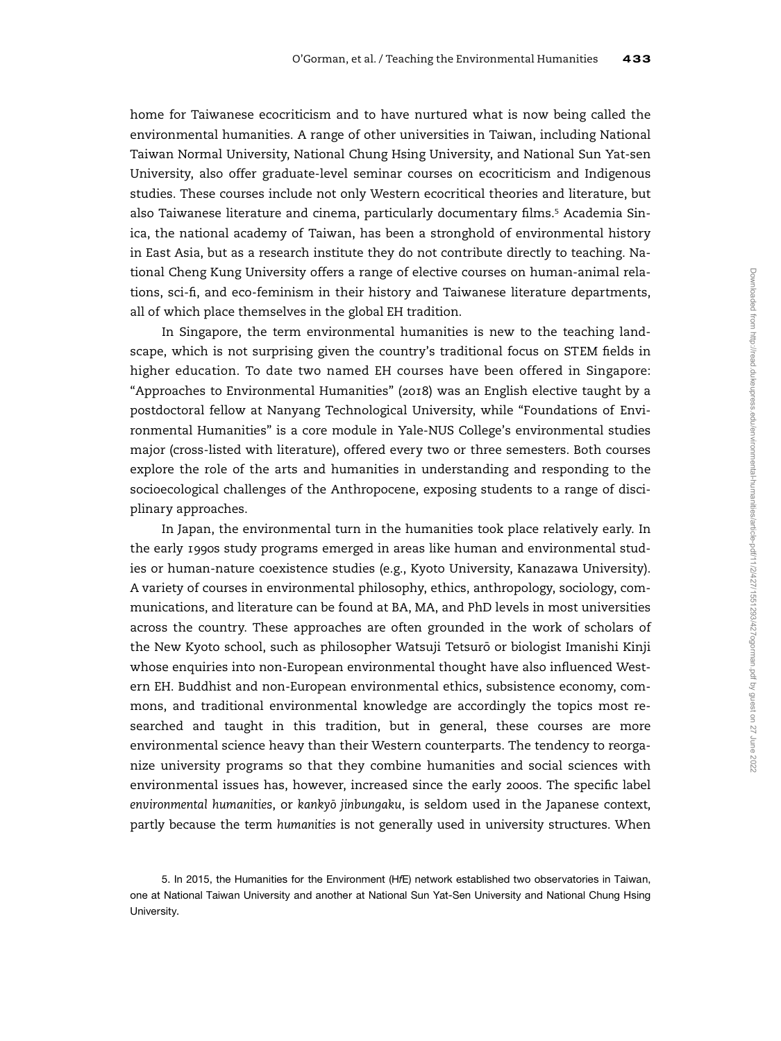home for Taiwanese ecocriticism and to have nurtured what is now being called the environmental humanities. A range of other universities in Taiwan, including National Taiwan Normal University, National Chung Hsing University, and National Sun Yat-sen University, also offer graduate-level seminar courses on ecocriticism and Indigenous studies. These courses include not only Western ecocritical theories and literature, but also Taiwanese literature and cinema, particularly documentary films.<sup>5</sup> Academia Sinica, the national academy of Taiwan, has been a stronghold of environmental history in East Asia, but as a research institute they do not contribute directly to teaching. National Cheng Kung University offers a range of elective courses on human-animal relations, sci-fi, and eco-feminism in their history and Taiwanese literature departments, all of which place themselves in the global EH tradition.

In Singapore, the term environmental humanities is new to the teaching landscape, which is not surprising given the country's traditional focus on STEM fields in higher education. To date two named EH courses have been offered in Singapore: "Approaches to Environmental Humanities" (2018) was an English elective taught by a postdoctoral fellow at Nanyang Technological University, while "Foundations of Environmental Humanities" is a core module in Yale-NUS College's environmental studies major (cross-listed with literature), offered every two or three semesters. Both courses explore the role of the arts and humanities in understanding and responding to the socioecological challenges of the Anthropocene, exposing students to a range of disciplinary approaches.

In Japan, the environmental turn in the humanities took place relatively early. In the early 1990s study programs emerged in areas like human and environmental studies or human-nature coexistence studies (e.g., Kyoto University, Kanazawa University). A variety of courses in environmental philosophy, ethics, anthropology, sociology, communications, and literature can be found at BA, MA, and PhD levels in most universities across the country. These approaches are often grounded in the work of scholars of the New Kyoto school, such as philosopher Watsuji Tetsurō or biologist Imanishi Kinji whose enquiries into non-European environmental thought have also influenced Western EH. Buddhist and non-European environmental ethics, subsistence economy, commons, and traditional environmental knowledge are accordingly the topics most researched and taught in this tradition, but in general, these courses are more environmental science heavy than their Western counterparts. The tendency to reorganize university programs so that they combine humanities and social sciences with environmental issues has, however, increased since the early 2000s. The specific label environmental humanities, or kankyō jinbungaku, is seldom used in the Japanese context, partly because the term humanities is not generally used in university structures. When

<sup>5.</sup> In 2015, the Humanities for the Environment (HfE) network established two observatories in Taiwan, one at National Taiwan University and another at National Sun Yat-Sen University and National Chung Hsing University.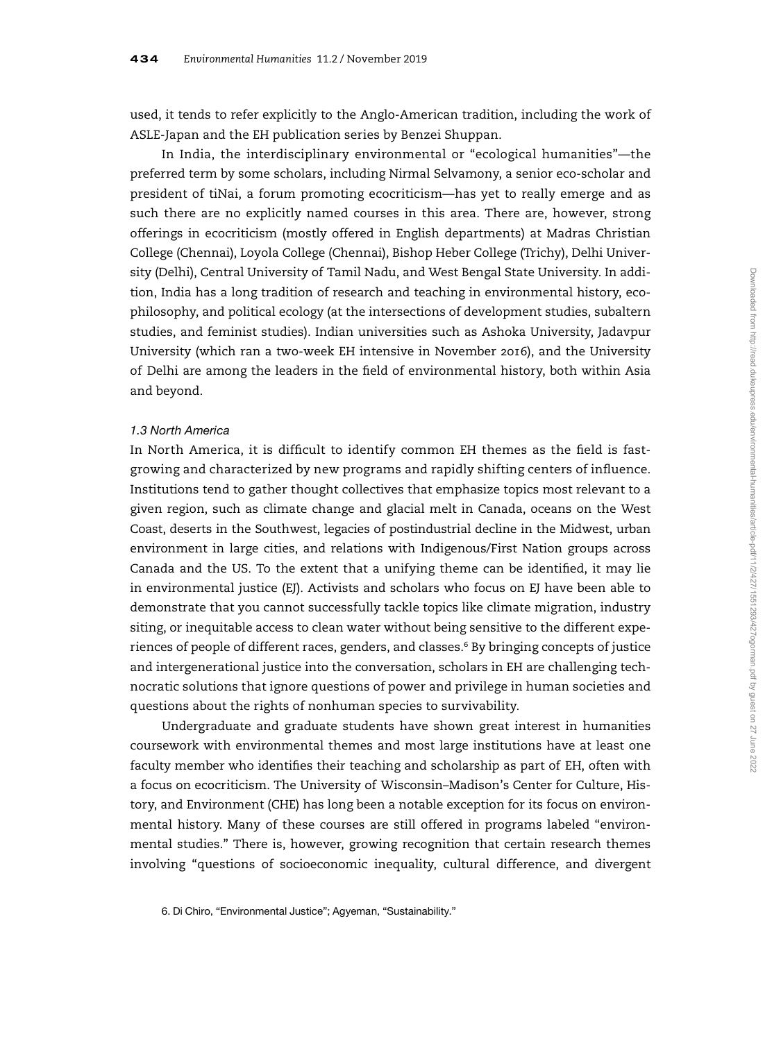used, it tends to refer explicitly to the Anglo-American tradition, including the work of ASLE-Japan and the EH publication series by Benzei Shuppan.

In India, the interdisciplinary environmental or "ecological humanities"—the preferred term by some scholars, including Nirmal Selvamony, a senior eco-scholar and president of tiNai, a forum promoting ecocriticism—has yet to really emerge and as such there are no explicitly named courses in this area. There are, however, strong offerings in ecocriticism (mostly offered in English departments) at Madras Christian College (Chennai), Loyola College (Chennai), Bishop Heber College (Trichy), Delhi University (Delhi), Central University of Tamil Nadu, and West Bengal State University. In addition, India has a long tradition of research and teaching in environmental history, ecophilosophy, and political ecology (at the intersections of development studies, subaltern studies, and feminist studies). Indian universities such as Ashoka University, Jadavpur University (which ran a two-week EH intensive in November 2016), and the University of Delhi are among the leaders in the field of environmental history, both within Asia and beyond.

## 1.3 North America

In North America, it is difficult to identify common EH themes as the field is fastgrowing and characterized by new programs and rapidly shifting centers of influence. Institutions tend to gather thought collectives that emphasize topics most relevant to a given region, such as climate change and glacial melt in Canada, oceans on the West Coast, deserts in the Southwest, legacies of postindustrial decline in the Midwest, urban environment in large cities, and relations with Indigenous/First Nation groups across Canada and the US. To the extent that a unifying theme can be identified, it may lie in environmental justice (EJ). Activists and scholars who focus on EJ have been able to demonstrate that you cannot successfully tackle topics like climate migration, industry siting, or inequitable access to clean water without being sensitive to the different experiences of people of different races, genders, and classes.<sup>6</sup> By bringing concepts of justice and intergenerational justice into the conversation, scholars in EH are challenging technocratic solutions that ignore questions of power and privilege in human societies and questions about the rights of nonhuman species to survivability.

Undergraduate and graduate students have shown great interest in humanities coursework with environmental themes and most large institutions have at least one faculty member who identifies their teaching and scholarship as part of EH, often with a focus on ecocriticism. The University of Wisconsin–Madison's Center for Culture, History, and Environment (CHE) has long been a notable exception for its focus on environmental history. Many of these courses are still offered in programs labeled "environmental studies." There is, however, growing recognition that certain research themes involving "questions of socioeconomic inequality, cultural difference, and divergent

6. Di Chiro, "Environmental Justice"; Agyeman, "Sustainability."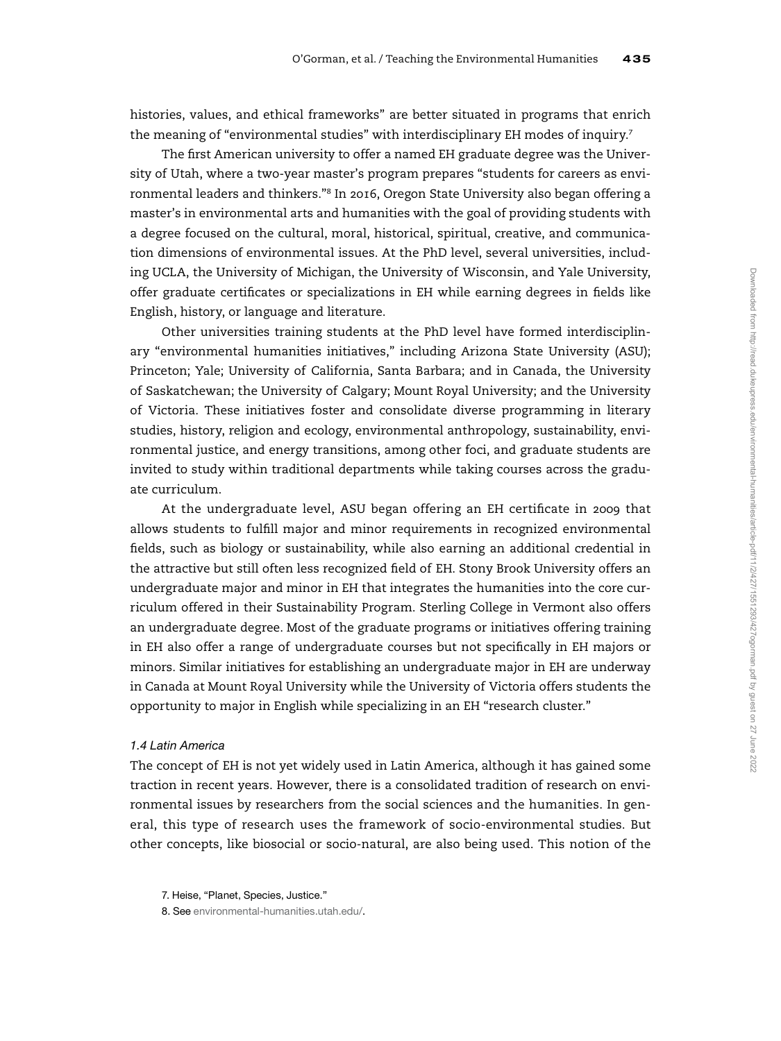histories, values, and ethical frameworks" are better situated in programs that enrich the meaning of "environmental studies" with interdisciplinary EH modes of inquiry.<sup>7</sup>

The first American university to offer a named EH graduate degree was the University of Utah, where a two-year master's program prepares "students for careers as environmental leaders and thinkers."<sup>8</sup> In 2016, Oregon State University also began offering a master's in environmental arts and humanities with the goal of providing students with a degree focused on the cultural, moral, historical, spiritual, creative, and communication dimensions of environmental issues. At the PhD level, several universities, including UCLA, the University of Michigan, the University of Wisconsin, and Yale University, offer graduate certificates or specializations in EH while earning degrees in fields like English, history, or language and literature.

Other universities training students at the PhD level have formed interdisciplinary "environmental humanities initiatives," including Arizona State University (ASU); Princeton; Yale; University of California, Santa Barbara; and in Canada, the University of Saskatchewan; the University of Calgary; Mount Royal University; and the University of Victoria. These initiatives foster and consolidate diverse programming in literary studies, history, religion and ecology, environmental anthropology, sustainability, environmental justice, and energy transitions, among other foci, and graduate students are invited to study within traditional departments while taking courses across the graduate curriculum.

At the undergraduate level, ASU began offering an EH certificate in 2009 that allows students to fulfill major and minor requirements in recognized environmental fields, such as biology or sustainability, while also earning an additional credential in the attractive but still often less recognized field of EH. Stony Brook University offers an undergraduate major and minor in EH that integrates the humanities into the core curriculum offered in their Sustainability Program. Sterling College in Vermont also offers an undergraduate degree. Most of the graduate programs or initiatives offering training in EH also offer a range of undergraduate courses but not specifically in EH majors or minors. Similar initiatives for establishing an undergraduate major in EH are underway in Canada at Mount Royal University while the University of Victoria offers students the opportunity to major in English while specializing in an EH "research cluster."

#### 1.4 Latin America

The concept of EH is not yet widely used in Latin America, although it has gained some traction in recent years. However, there is a consolidated tradition of research on environmental issues by researchers from the social sciences and the humanities. In general, this type of research uses the framework of socio-environmental studies. But other concepts, like biosocial or socio-natural, are also being used. This notion of the

<sup>7.</sup> Heise, "Planet, Species, Justice."

<sup>8.</sup> See [environmental-humanities.utah.edu/.](http://environmental-humanities.utah.edu/)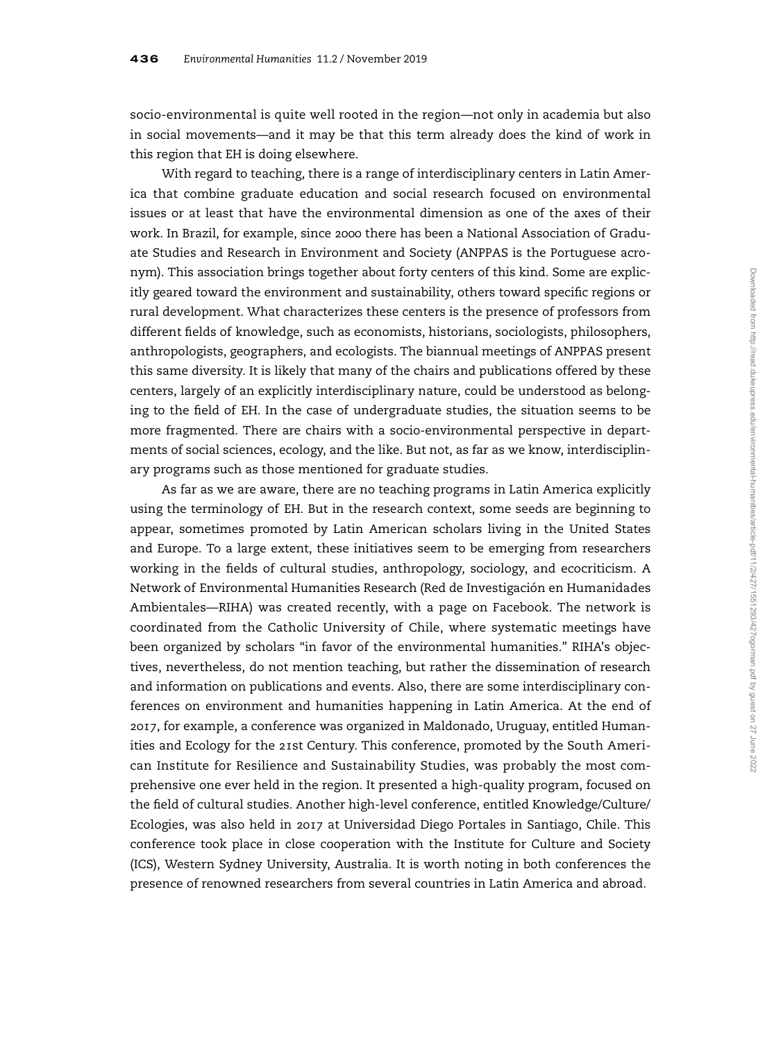socio-environmental is quite well rooted in the region—not only in academia but also in social movements—and it may be that this term already does the kind of work in this region that EH is doing elsewhere.

With regard to teaching, there is a range of interdisciplinary centers in Latin America that combine graduate education and social research focused on environmental issues or at least that have the environmental dimension as one of the axes of their work. In Brazil, for example, since 2000 there has been a National Association of Graduate Studies and Research in Environment and Society (ANPPAS is the Portuguese acronym). This association brings together about forty centers of this kind. Some are explicitly geared toward the environment and sustainability, others toward specific regions or rural development. What characterizes these centers is the presence of professors from different fields of knowledge, such as economists, historians, sociologists, philosophers, anthropologists, geographers, and ecologists. The biannual meetings of ANPPAS present this same diversity. It is likely that many of the chairs and publications offered by these centers, largely of an explicitly interdisciplinary nature, could be understood as belonging to the field of EH. In the case of undergraduate studies, the situation seems to be more fragmented. There are chairs with a socio-environmental perspective in departments of social sciences, ecology, and the like. But not, as far as we know, interdisciplinary programs such as those mentioned for graduate studies.

As far as we are aware, there are no teaching programs in Latin America explicitly using the terminology of EH. But in the research context, some seeds are beginning to appear, sometimes promoted by Latin American scholars living in the United States and Europe. To a large extent, these initiatives seem to be emerging from researchers working in the fields of cultural studies, anthropology, sociology, and ecocriticism. A Network of Environmental Humanities Research (Red de Investigación en Humanidades Ambientales—RIHA) was created recently, with a page on Facebook. The network is coordinated from the Catholic University of Chile, where systematic meetings have been organized by scholars "in favor of the environmental humanities." RIHA's objectives, nevertheless, do not mention teaching, but rather the dissemination of research and information on publications and events. Also, there are some interdisciplinary conferences on environment and humanities happening in Latin America. At the end of 2017, for example, a conference was organized in Maldonado, Uruguay, entitled Humanities and Ecology for the 21st Century. This conference, promoted by the South American Institute for Resilience and Sustainability Studies, was probably the most comprehensive one ever held in the region. It presented a high-quality program, focused on the field of cultural studies. Another high-level conference, entitled Knowledge/Culture/ Ecologies, was also held in 2017 at Universidad Diego Portales in Santiago, Chile. This conference took place in close cooperation with the Institute for Culture and Society (ICS), Western Sydney University, Australia. It is worth noting in both conferences the presence of renowned researchers from several countries in Latin America and abroad.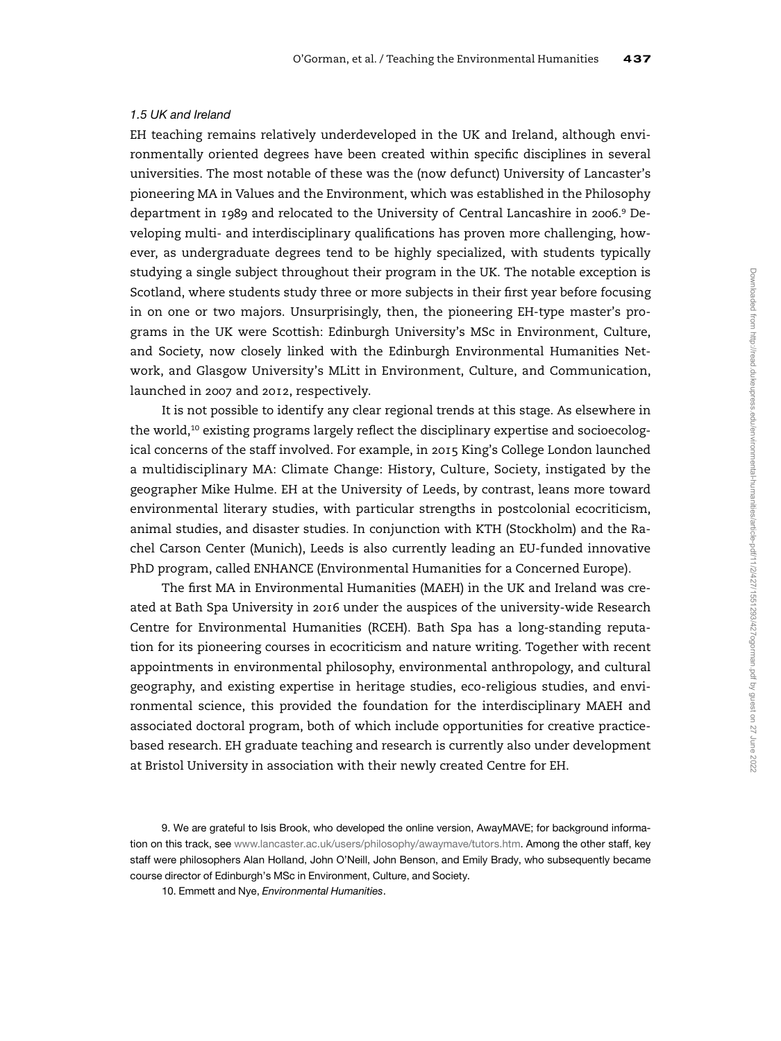## 1.5 UK and Ireland

EH teaching remains relatively underdeveloped in the UK and Ireland, although environmentally oriented degrees have been created within specific disciplines in several universities. The most notable of these was the (now defunct) University of Lancaster's pioneering MA in Values and the Environment, which was established in the Philosophy department in 1989 and relocated to the University of Central Lancashire in 2006.<sup>9</sup> Developing multi- and interdisciplinary qualifications has proven more challenging, however, as undergraduate degrees tend to be highly specialized, with students typically studying a single subject throughout their program in the UK. The notable exception is Scotland, where students study three or more subjects in their first year before focusing in on one or two majors. Unsurprisingly, then, the pioneering EH-type master's programs in the UK were Scottish: Edinburgh University's MSc in Environment, Culture, and Society, now closely linked with the Edinburgh Environmental Humanities Network, and Glasgow University's MLitt in Environment, Culture, and Communication, launched in 2007 and 2012, respectively.

It is not possible to identify any clear regional trends at this stage. As elsewhere in the world, $10$  existing programs largely reflect the disciplinary expertise and socioecological concerns of the staff involved. For example, in 2015 King's College London launched a multidisciplinary MA: Climate Change: History, Culture, Society, instigated by the geographer Mike Hulme. EH at the University of Leeds, by contrast, leans more toward environmental literary studies, with particular strengths in postcolonial ecocriticism, animal studies, and disaster studies. In conjunction with KTH (Stockholm) and the Rachel Carson Center (Munich), Leeds is also currently leading an EU-funded innovative PhD program, called ENHANCE (Environmental Humanities for a Concerned Europe).

The first MA in Environmental Humanities (MAEH) in the UK and Ireland was created at Bath Spa University in 2016 under the auspices of the university-wide Research Centre for Environmental Humanities (RCEH). Bath Spa has a long-standing reputation for its pioneering courses in ecocriticism and nature writing. Together with recent appointments in environmental philosophy, environmental anthropology, and cultural geography, and existing expertise in heritage studies, eco-religious studies, and environmental science, this provided the foundation for the interdisciplinary MAEH and associated doctoral program, both of which include opportunities for creative practicebased research. EH graduate teaching and research is currently also under development at Bristol University in association with their newly created Centre for EH.

<sup>9.</sup> We are grateful to Isis Brook, who developed the online version, AwayMAVE; for background information on this track, see [www.lancaster.ac.uk/users/philosophy/awaymave/tutors.htm.](http://www.lancaster.ac.uk/users/philosophy/awaymave/tutors.htm) Among the other staff, key staff were philosophers Alan Holland, John O'Neill, John Benson, and Emily Brady, who subsequently became course director of Edinburgh's MSc in Environment, Culture, and Society.

<sup>10.</sup> Emmett and Nye, Environmental Humanities.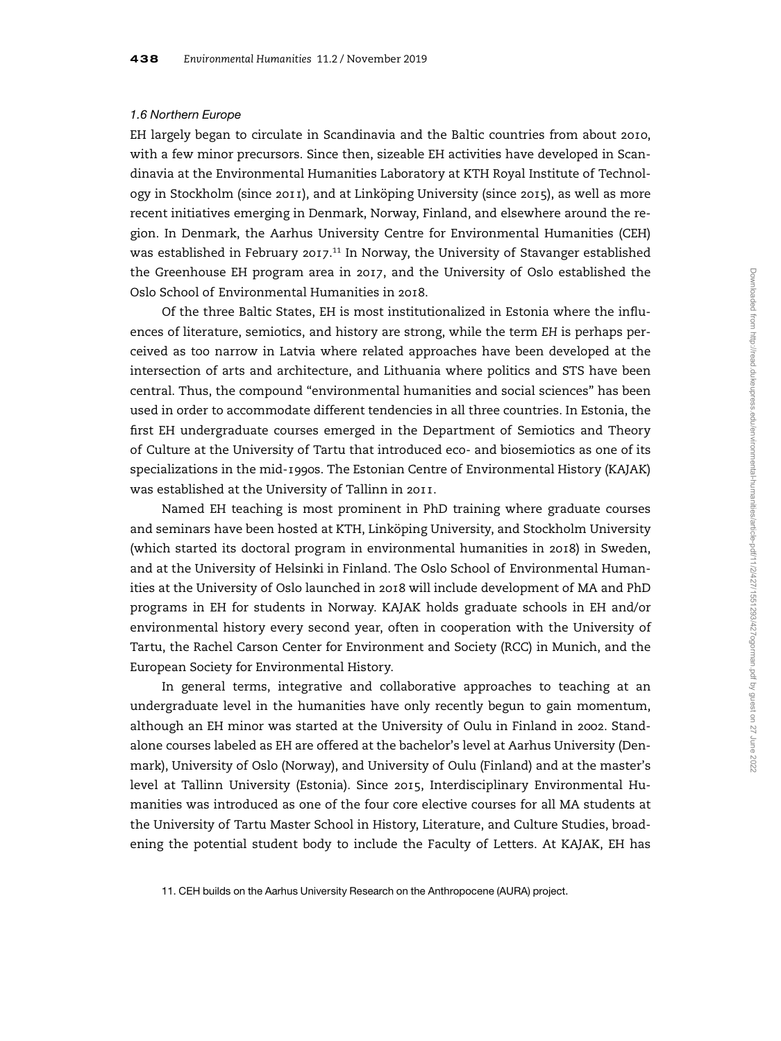## 1.6 Northern Europe

EH largely began to circulate in Scandinavia and the Baltic countries from about 2010, with a few minor precursors. Since then, sizeable EH activities have developed in Scandinavia at the Environmental Humanities Laboratory at KTH Royal Institute of Technology in Stockholm (since 2011), and at Linköping University (since 2015), as well as more recent initiatives emerging in Denmark, Norway, Finland, and elsewhere around the region. In Denmark, the Aarhus University Centre for Environmental Humanities (CEH) was established in February 2017.<sup>11</sup> In Norway, the University of Stavanger established the Greenhouse EH program area in 2017, and the University of Oslo established the Oslo School of Environmental Humanities in 2018.

Of the three Baltic States, EH is most institutionalized in Estonia where the influences of literature, semiotics, and history are strong, while the term EH is perhaps perceived as too narrow in Latvia where related approaches have been developed at the intersection of arts and architecture, and Lithuania where politics and STS have been central. Thus, the compound "environmental humanities and social sciences" has been used in order to accommodate different tendencies in all three countries. In Estonia, the first EH undergraduate courses emerged in the Department of Semiotics and Theory of Culture at the University of Tartu that introduced eco- and biosemiotics as one of its specializations in the mid-1990s. The Estonian Centre of Environmental History (KAJAK) was established at the University of Tallinn in 2011.

Named EH teaching is most prominent in PhD training where graduate courses and seminars have been hosted at KTH, Linköping University, and Stockholm University (which started its doctoral program in environmental humanities in 2018) in Sweden, and at the University of Helsinki in Finland. The Oslo School of Environmental Humanities at the University of Oslo launched in 2018 will include development of MA and PhD programs in EH for students in Norway. KAJAK holds graduate schools in EH and/or environmental history every second year, often in cooperation with the University of Tartu, the Rachel Carson Center for Environment and Society (RCC) in Munich, and the European Society for Environmental History.

In general terms, integrative and collaborative approaches to teaching at an undergraduate level in the humanities have only recently begun to gain momentum, although an EH minor was started at the University of Oulu in Finland in 2002. Standalone courses labeled as EH are offered at the bachelor's level at Aarhus University (Denmark), University of Oslo (Norway), and University of Oulu (Finland) and at the master's level at Tallinn University (Estonia). Since 2015, Interdisciplinary Environmental Humanities was introduced as one of the four core elective courses for all MA students at the University of Tartu Master School in History, Literature, and Culture Studies, broadening the potential student body to include the Faculty of Letters. At KAJAK, EH has

11. CEH builds on the Aarhus University Research on the Anthropocene (AURA) project.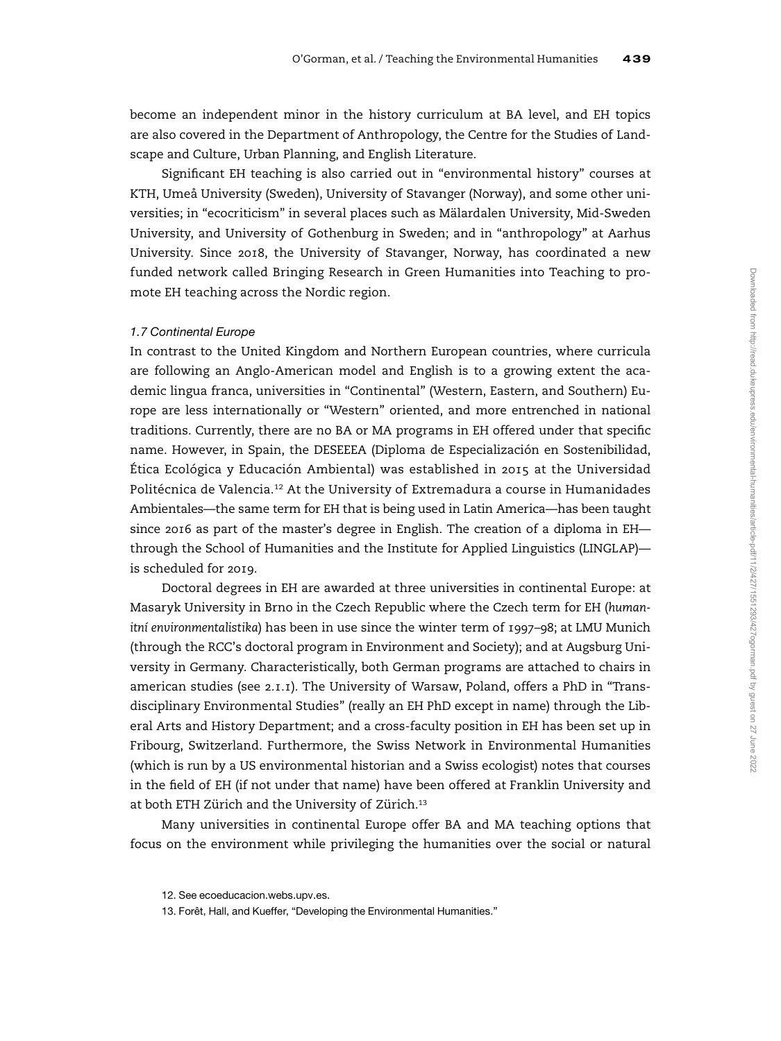become an independent minor in the history curriculum at BA level, and EH topics are also covered in the Department of Anthropology, the Centre for the Studies of Landscape and Culture, Urban Planning, and English Literature.

Significant EH teaching is also carried out in "environmental history" courses at KTH, Umeå University (Sweden), University of Stavanger (Norway), and some other universities; in "ecocriticism" in several places such as Mälardalen University, Mid-Sweden University, and University of Gothenburg in Sweden; and in "anthropology" at Aarhus University. Since 2018, the University of Stavanger, Norway, has coordinated a new funded network called Bringing Research in Green Humanities into Teaching to promote EH teaching across the Nordic region.

#### 1.7 Continental Europe

In contrast to the United Kingdom and Northern European countries, where curricula are following an Anglo-American model and English is to a growing extent the academic lingua franca, universities in "Continental" (Western, Eastern, and Southern) Europe are less internationally or "Western" oriented, and more entrenched in national traditions. Currently, there are no BA or MA programs in EH offered under that specific name. However, in Spain, the DESEEEA (Diploma de Especialización en Sostenibilidad, Ética Ecológica y Educación Ambiental) was established in 2015 at the Universidad Politécnica de Valencia.<sup>12</sup> At the University of Extremadura a course in Humanidades Ambientales—the same term for EH that is being used in Latin America—has been taught since 2016 as part of the master's degree in English. The creation of a diploma in EH through the School of Humanities and the Institute for Applied Linguistics (LINGLAP) is scheduled for 2019.

Doctoral degrees in EH are awarded at three universities in continental Europe: at Masaryk University in Brno in the Czech Republic where the Czech term for EH (humanitní environmentalistika) has been in use since the winter term of 1997–98; at LMU Munich (through the RCC's doctoral program in Environment and Society); and at Augsburg University in Germany. Characteristically, both German programs are attached to chairs in american studies (see 2.1.1). The University of Warsaw, Poland, offers a PhD in "Transdisciplinary Environmental Studies" (really an EH PhD except in name) through the Liberal Arts and History Department; and a cross-faculty position in EH has been set up in Fribourg, Switzerland. Furthermore, the Swiss Network in Environmental Humanities (which is run by a US environmental historian and a Swiss ecologist) notes that courses in the field of EH (if not under that name) have been offered at Franklin University and at both ETH Zürich and the University of Zürich.<sup>13</sup>

Many universities in continental Europe offer BA and MA teaching options that focus on the environment while privileging the humanities over the social or natural

<sup>12.</sup> See ecoeducacion.webs.upv.es.

<sup>13.</sup> Forêt, Hall, and Kueffer, "Developing the Environmental Humanities."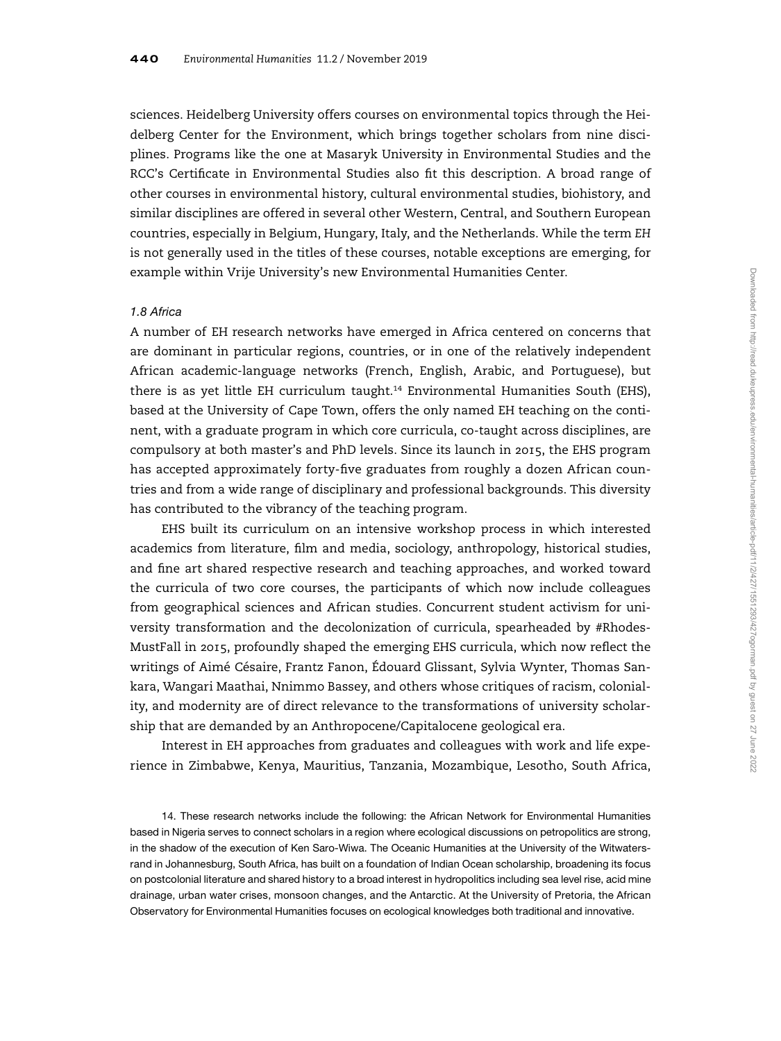sciences. Heidelberg University offers courses on environmental topics through the Heidelberg Center for the Environment, which brings together scholars from nine disciplines. Programs like the one at Masaryk University in Environmental Studies and the RCC's Certificate in Environmental Studies also fit this description. A broad range of other courses in environmental history, cultural environmental studies, biohistory, and similar disciplines are offered in several other Western, Central, and Southern European countries, especially in Belgium, Hungary, Italy, and the Netherlands. While the term EH is not generally used in the titles of these courses, notable exceptions are emerging, for example within Vrije University's new Environmental Humanities Center.

#### 1.8 Africa

A number of EH research networks have emerged in Africa centered on concerns that are dominant in particular regions, countries, or in one of the relatively independent African academic-language networks (French, English, Arabic, and Portuguese), but there is as yet little EH curriculum taught.<sup>14</sup> Environmental Humanities South (EHS), based at the University of Cape Town, offers the only named EH teaching on the continent, with a graduate program in which core curricula, co-taught across disciplines, are compulsory at both master's and PhD levels. Since its launch in 2015, the EHS program has accepted approximately forty-five graduates from roughly a dozen African countries and from a wide range of disciplinary and professional backgrounds. This diversity has contributed to the vibrancy of the teaching program.

EHS built its curriculum on an intensive workshop process in which interested academics from literature, film and media, sociology, anthropology, historical studies, and fine art shared respective research and teaching approaches, and worked toward the curricula of two core courses, the participants of which now include colleagues from geographical sciences and African studies. Concurrent student activism for university transformation and the decolonization of curricula, spearheaded by #Rhodes-MustFall in 2015, profoundly shaped the emerging EHS curricula, which now reflect the writings of Aimé Césaire, Frantz Fanon, Édouard Glissant, Sylvia Wynter, Thomas Sankara, Wangari Maathai, Nnimmo Bassey, and others whose critiques of racism, coloniality, and modernity are of direct relevance to the transformations of university scholarship that are demanded by an Anthropocene/Capitalocene geological era.

Interest in EH approaches from graduates and colleagues with work and life experience in Zimbabwe, Kenya, Mauritius, Tanzania, Mozambique, Lesotho, South Africa,

14. These research networks include the following: the African Network for Environmental Humanities based in Nigeria serves to connect scholars in a region where ecological discussions on petropolitics are strong, in the shadow of the execution of Ken Saro-Wiwa. The Oceanic Humanities at the University of the Witwatersrand in Johannesburg, South Africa, has built on a foundation of Indian Ocean scholarship, broadening its focus on postcolonial literature and shared history to a broad interest in hydropolitics including sea level rise, acid mine drainage, urban water crises, monsoon changes, and the Antarctic. At the University of Pretoria, the African Observatory for Environmental Humanities focuses on ecological knowledges both traditional and innovative.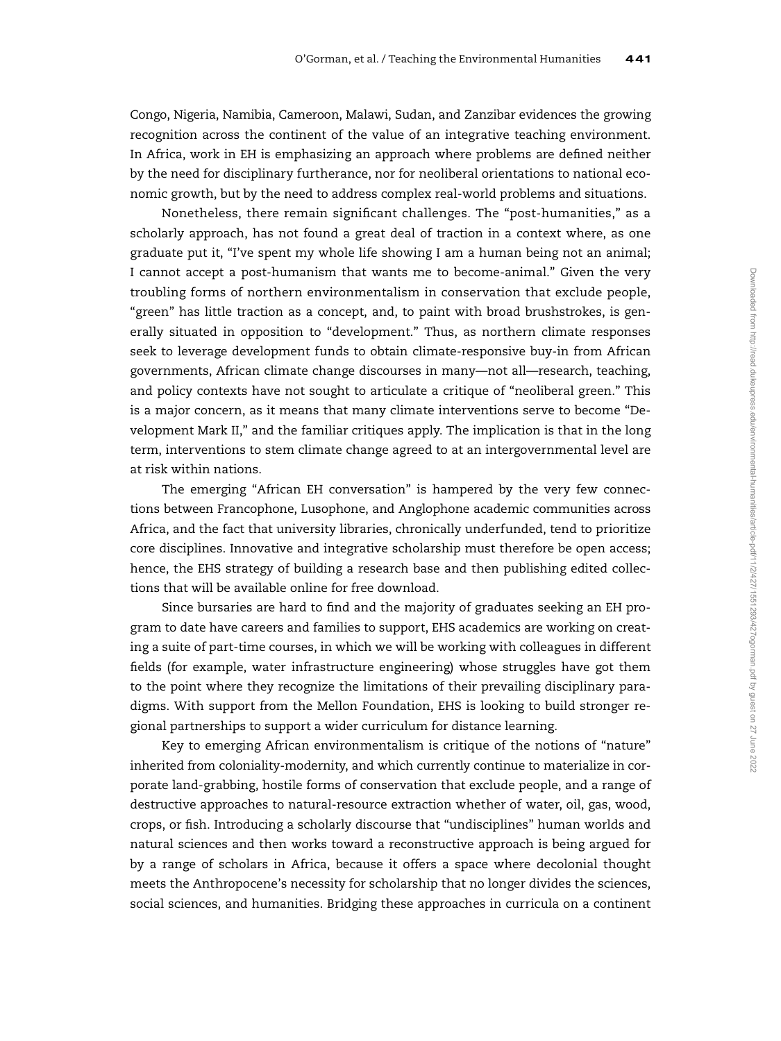Congo, Nigeria, Namibia, Cameroon, Malawi, Sudan, and Zanzibar evidences the growing recognition across the continent of the value of an integrative teaching environment. In Africa, work in EH is emphasizing an approach where problems are defined neither by the need for disciplinary furtherance, nor for neoliberal orientations to national economic growth, but by the need to address complex real-world problems and situations.

Nonetheless, there remain significant challenges. The "post-humanities," as a scholarly approach, has not found a great deal of traction in a context where, as one graduate put it, "I've spent my whole life showing I am a human being not an animal; I cannot accept a post-humanism that wants me to become-animal." Given the very troubling forms of northern environmentalism in conservation that exclude people, "green" has little traction as a concept, and, to paint with broad brushstrokes, is generally situated in opposition to "development." Thus, as northern climate responses seek to leverage development funds to obtain climate-responsive buy-in from African governments, African climate change discourses in many—not all—research, teaching, and policy contexts have not sought to articulate a critique of "neoliberal green." This is a major concern, as it means that many climate interventions serve to become "Development Mark II," and the familiar critiques apply. The implication is that in the long term, interventions to stem climate change agreed to at an intergovernmental level are at risk within nations.

The emerging "African EH conversation" is hampered by the very few connections between Francophone, Lusophone, and Anglophone academic communities across Africa, and the fact that university libraries, chronically underfunded, tend to prioritize core disciplines. Innovative and integrative scholarship must therefore be open access; hence, the EHS strategy of building a research base and then publishing edited collections that will be available online for free download.

Since bursaries are hard to find and the majority of graduates seeking an EH program to date have careers and families to support, EHS academics are working on creating a suite of part-time courses, in which we will be working with colleagues in different fields (for example, water infrastructure engineering) whose struggles have got them to the point where they recognize the limitations of their prevailing disciplinary paradigms. With support from the Mellon Foundation, EHS is looking to build stronger regional partnerships to support a wider curriculum for distance learning.

Key to emerging African environmentalism is critique of the notions of "nature" inherited from coloniality-modernity, and which currently continue to materialize in corporate land-grabbing, hostile forms of conservation that exclude people, and a range of destructive approaches to natural-resource extraction whether of water, oil, gas, wood, crops, or fish. Introducing a scholarly discourse that "undisciplines" human worlds and natural sciences and then works toward a reconstructive approach is being argued for by a range of scholars in Africa, because it offers a space where decolonial thought meets the Anthropocene's necessity for scholarship that no longer divides the sciences, social sciences, and humanities. Bridging these approaches in curricula on a continent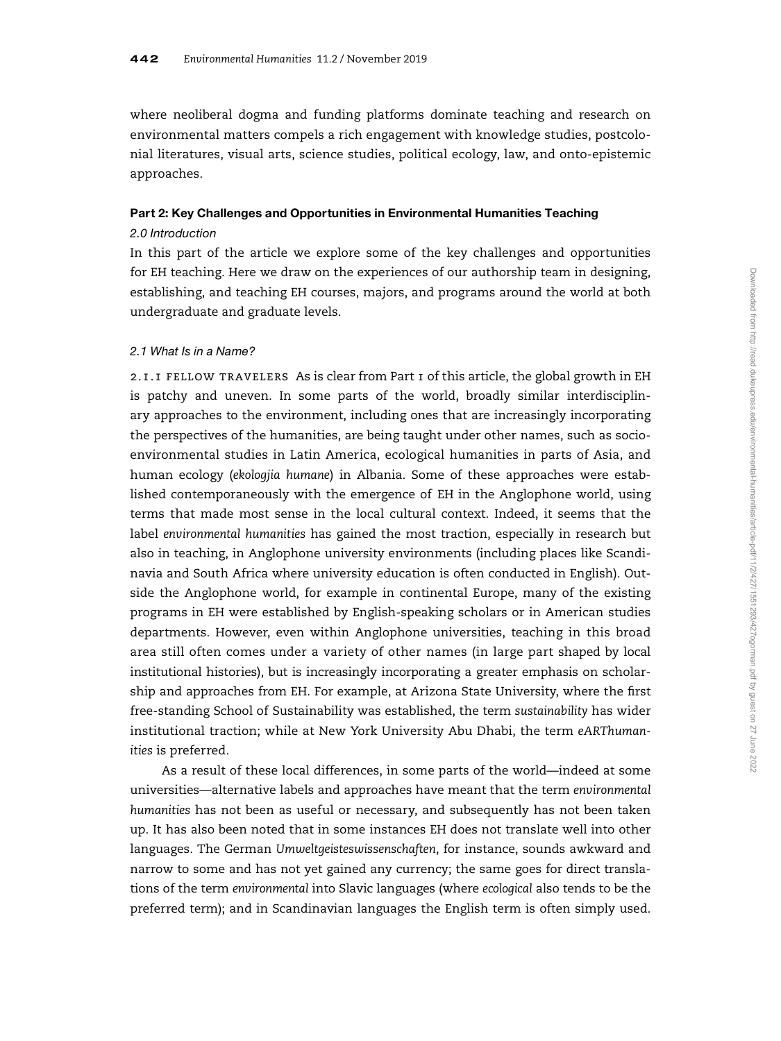where neoliberal dogma and funding platforms dominate teaching and research on environmental matters compels a rich engagement with knowledge studies, postcolonial literatures, visual arts, science studies, political ecology, law, and onto-epistemic approaches.

## Part 2: Key Challenges and Opportunities in Environmental Humanities Teaching

## 2.0 Introduction

In this part of the article we explore some of the key challenges and opportunities for EH teaching. Here we draw on the experiences of our authorship team in designing, establishing, and teaching EH courses, majors, and programs around the world at both undergraduate and graduate levels.

## 2.1 What Is in a Name?

2.1.1 fellow travelers As is clear from Part 1 of this article, the global growth in EH is patchy and uneven. In some parts of the world, broadly similar interdisciplinary approaches to the environment, including ones that are increasingly incorporating the perspectives of the humanities, are being taught under other names, such as socioenvironmental studies in Latin America, ecological humanities in parts of Asia, and human ecology (ekologjia humane) in Albania. Some of these approaches were established contemporaneously with the emergence of EH in the Anglophone world, using terms that made most sense in the local cultural context. Indeed, it seems that the label environmental humanities has gained the most traction, especially in research but also in teaching, in Anglophone university environments (including places like Scandinavia and South Africa where university education is often conducted in English). Outside the Anglophone world, for example in continental Europe, many of the existing programs in EH were established by English-speaking scholars or in American studies departments. However, even within Anglophone universities, teaching in this broad area still often comes under a variety of other names (in large part shaped by local institutional histories), but is increasingly incorporating a greater emphasis on scholarship and approaches from EH. For example, at Arizona State University, where the first free-standing School of Sustainability was established, the term sustainability has wider institutional traction; while at New York University Abu Dhabi, the term eARThumanities is preferred.

As a result of these local differences, in some parts of the world—indeed at some universities—alternative labels and approaches have meant that the term environmental humanities has not been as useful or necessary, and subsequently has not been taken up. It has also been noted that in some instances EH does not translate well into other languages. The German Umweltgeisteswissenschaften, for instance, sounds awkward and narrow to some and has not yet gained any currency; the same goes for direct translations of the term environmental into Slavic languages (where ecological also tends to be the preferred term); and in Scandinavian languages the English term is often simply used.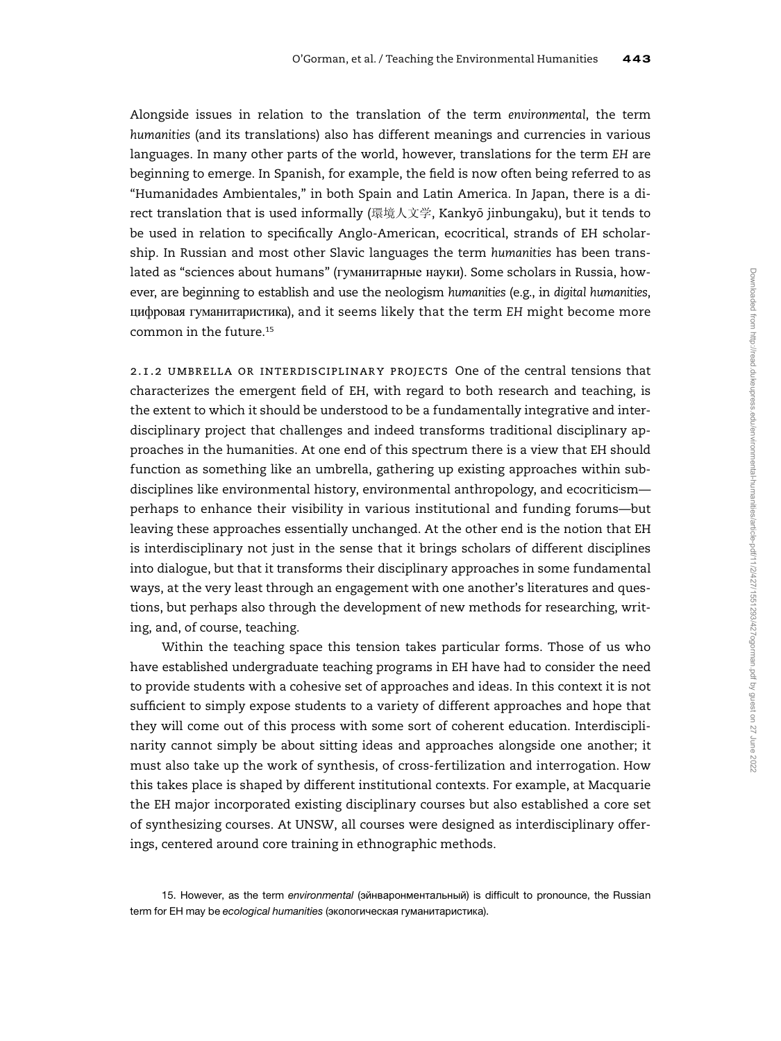Alongside issues in relation to the translation of the term environmental, the term humanities (and its translations) also has different meanings and currencies in various languages. In many other parts of the world, however, translations for the term EH are beginning to emerge. In Spanish, for example, the field is now often being referred to as "Humanidades Ambientales," in both Spain and Latin America. In Japan, there is a direct translation that is used informally (環境人文学, Kankyō jinbungaku), but it tends to be used in relation to specifically Anglo-American, ecocritical, strands of EH scholarship. In Russian and most other Slavic languages the term humanities has been translated as "sciences about humans" (гуманитарные науки). Some scholars in Russia, however, are beginning to establish and use the neologism humanities (e.g., in digital humanities, цифровая гуманитаристика), and it seems likely that the term EH might become more common in the future.<sup>15</sup>

2.1.2 umbrella or interdisciplinary projects One of the central tensions that characterizes the emergent field of EH, with regard to both research and teaching, is the extent to which it should be understood to be a fundamentally integrative and interdisciplinary project that challenges and indeed transforms traditional disciplinary approaches in the humanities. At one end of this spectrum there is a view that EH should function as something like an umbrella, gathering up existing approaches within subdisciplines like environmental history, environmental anthropology, and ecocriticism perhaps to enhance their visibility in various institutional and funding forums—but leaving these approaches essentially unchanged. At the other end is the notion that EH is interdisciplinary not just in the sense that it brings scholars of different disciplines into dialogue, but that it transforms their disciplinary approaches in some fundamental ways, at the very least through an engagement with one another's literatures and questions, but perhaps also through the development of new methods for researching, writing, and, of course, teaching.

Within the teaching space this tension takes particular forms. Those of us who have established undergraduate teaching programs in EH have had to consider the need to provide students with a cohesive set of approaches and ideas. In this context it is not sufficient to simply expose students to a variety of different approaches and hope that they will come out of this process with some sort of coherent education. Interdisciplinarity cannot simply be about sitting ideas and approaches alongside one another; it must also take up the work of synthesis, of cross-fertilization and interrogation. How this takes place is shaped by different institutional contexts. For example, at Macquarie the EH major incorporated existing disciplinary courses but also established a core set of synthesizing courses. At UNSW, all courses were designed as interdisciplinary offerings, centered around core training in ethnographic methods.

15. However, as the term environmental (эйнваронментальный) is difficult to pronounce, the Russian term for EH may be ecological humanities (экологическая гуманитаристика).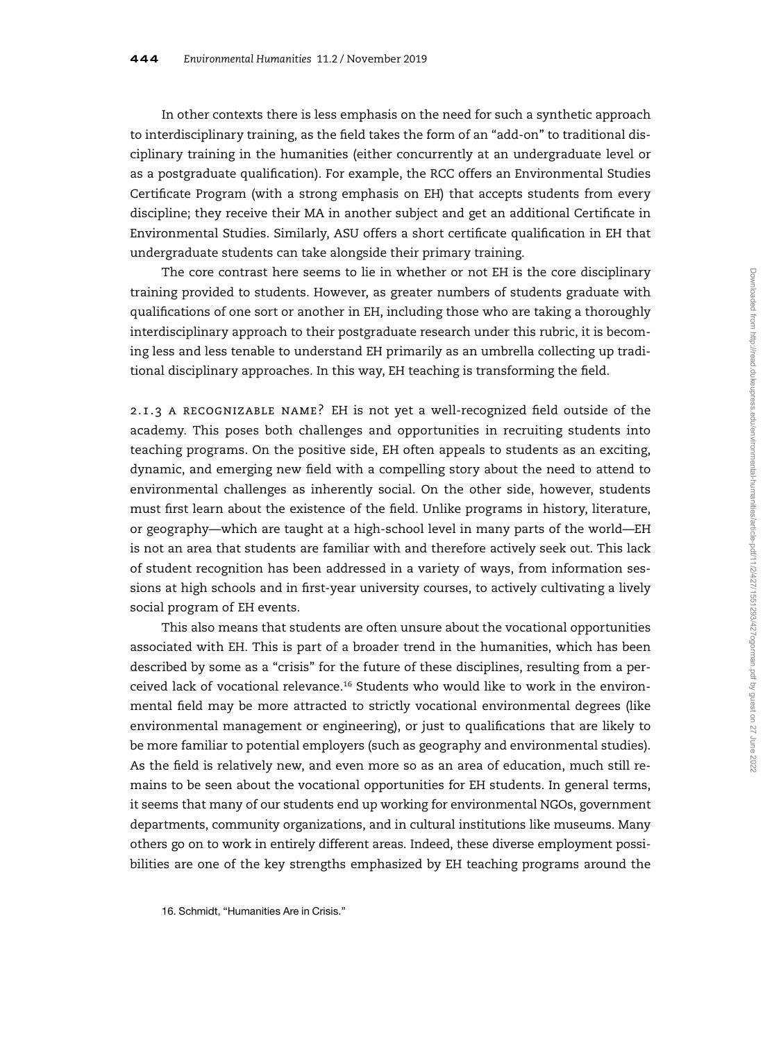In other contexts there is less emphasis on the need for such a synthetic approach to interdisciplinary training, as the field takes the form of an "add-on" to traditional disciplinary training in the humanities (either concurrently at an undergraduate level or as a postgraduate qualification). For example, the RCC offers an Environmental Studies Certificate Program (with a strong emphasis on EH) that accepts students from every discipline; they receive their MA in another subject and get an additional Certificate in Environmental Studies. Similarly, ASU offers a short certificate qualification in EH that undergraduate students can take alongside their primary training.

The core contrast here seems to lie in whether or not EH is the core disciplinary training provided to students. However, as greater numbers of students graduate with qualifications of one sort or another in EH, including those who are taking a thoroughly interdisciplinary approach to their postgraduate research under this rubric, it is becoming less and less tenable to understand EH primarily as an umbrella collecting up traditional disciplinary approaches. In this way, EH teaching is transforming the field.

2.1.3 a recognizable name? EH is not yet a well-recognized field outside of the academy. This poses both challenges and opportunities in recruiting students into teaching programs. On the positive side, EH often appeals to students as an exciting, dynamic, and emerging new field with a compelling story about the need to attend to environmental challenges as inherently social. On the other side, however, students must first learn about the existence of the field. Unlike programs in history, literature, or geography—which are taught at a high-school level in many parts of the world—EH is not an area that students are familiar with and therefore actively seek out. This lack of student recognition has been addressed in a variety of ways, from information sessions at high schools and in first-year university courses, to actively cultivating a lively social program of EH events.

This also means that students are often unsure about the vocational opportunities associated with EH. This is part of a broader trend in the humanities, which has been described by some as a "crisis" for the future of these disciplines, resulting from a perceived lack of vocational relevance.<sup>16</sup> Students who would like to work in the environmental field may be more attracted to strictly vocational environmental degrees (like environmental management or engineering), or just to qualifications that are likely to be more familiar to potential employers (such as geography and environmental studies). As the field is relatively new, and even more so as an area of education, much still remains to be seen about the vocational opportunities for EH students. In general terms, it seems that many of our students end up working for environmental NGOs, government departments, community organizations, and in cultural institutions like museums. Many others go on to work in entirely different areas. Indeed, these diverse employment possibilities are one of the key strengths emphasized by EH teaching programs around the

<sup>16.</sup> Schmidt, "Humanities Are in Crisis."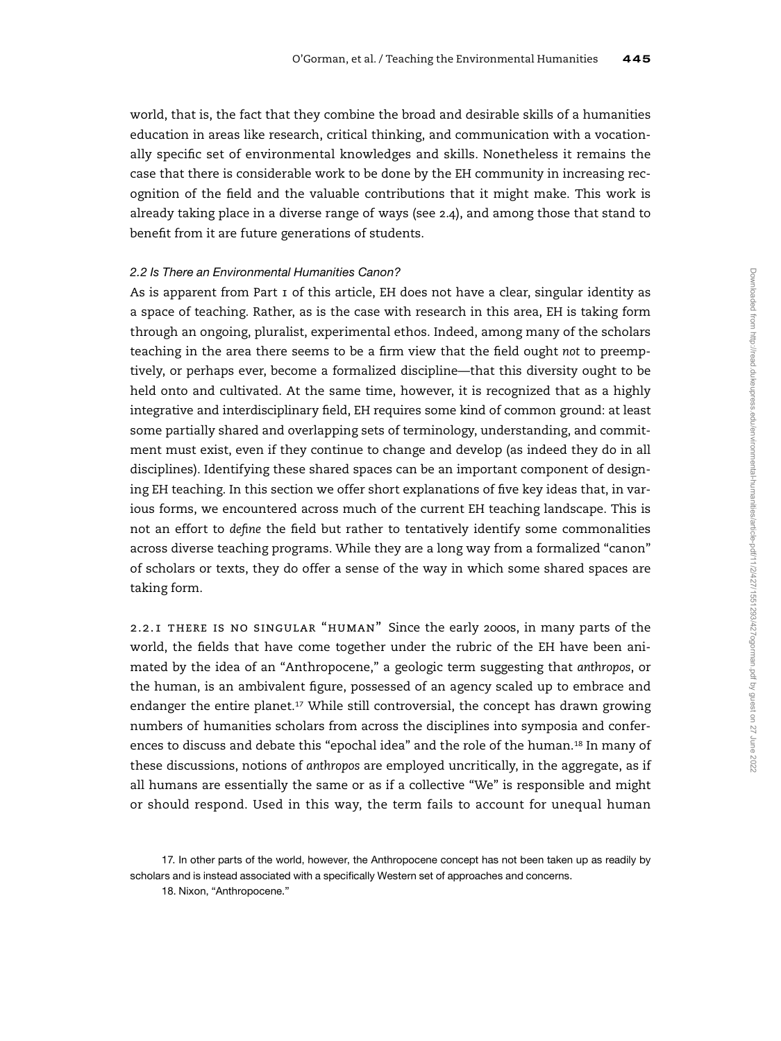world, that is, the fact that they combine the broad and desirable skills of a humanities education in areas like research, critical thinking, and communication with a vocationally specific set of environmental knowledges and skills. Nonetheless it remains the case that there is considerable work to be done by the EH community in increasing recognition of the field and the valuable contributions that it might make. This work is already taking place in a diverse range of ways (see 2.4), and among those that stand to benefit from it are future generations of students.

#### 2.2 Is There an Environmental Humanities Canon?

As is apparent from Part 1 of this article, EH does not have a clear, singular identity as a space of teaching. Rather, as is the case with research in this area, EH is taking form through an ongoing, pluralist, experimental ethos. Indeed, among many of the scholars teaching in the area there seems to be a firm view that the field ought not to preemptively, or perhaps ever, become a formalized discipline—that this diversity ought to be held onto and cultivated. At the same time, however, it is recognized that as a highly integrative and interdisciplinary field, EH requires some kind of common ground: at least some partially shared and overlapping sets of terminology, understanding, and commitment must exist, even if they continue to change and develop (as indeed they do in all disciplines). Identifying these shared spaces can be an important component of designing EH teaching. In this section we offer short explanations of five key ideas that, in various forms, we encountered across much of the current EH teaching landscape. This is not an effort to define the field but rather to tentatively identify some commonalities across diverse teaching programs. While they are a long way from a formalized "canon" of scholars or texts, they do offer a sense of the way in which some shared spaces are taking form.

2.2.1 there is no singular "human" Since the early 2000s, in many parts of the world, the fields that have come together under the rubric of the EH have been animated by the idea of an "Anthropocene," a geologic term suggesting that anthropos, or the human, is an ambivalent figure, possessed of an agency scaled up to embrace and endanger the entire planet.<sup>17</sup> While still controversial, the concept has drawn growing numbers of humanities scholars from across the disciplines into symposia and conferences to discuss and debate this "epochal idea" and the role of the human.<sup>18</sup> In many of these discussions, notions of anthropos are employed uncritically, in the aggregate, as if all humans are essentially the same or as if a collective "We" is responsible and might or should respond. Used in this way, the term fails to account for unequal human

<sup>17.</sup> In other parts of the world, however, the Anthropocene concept has not been taken up as readily by scholars and is instead associated with a specifically Western set of approaches and concerns. 18. Nixon, "Anthropocene."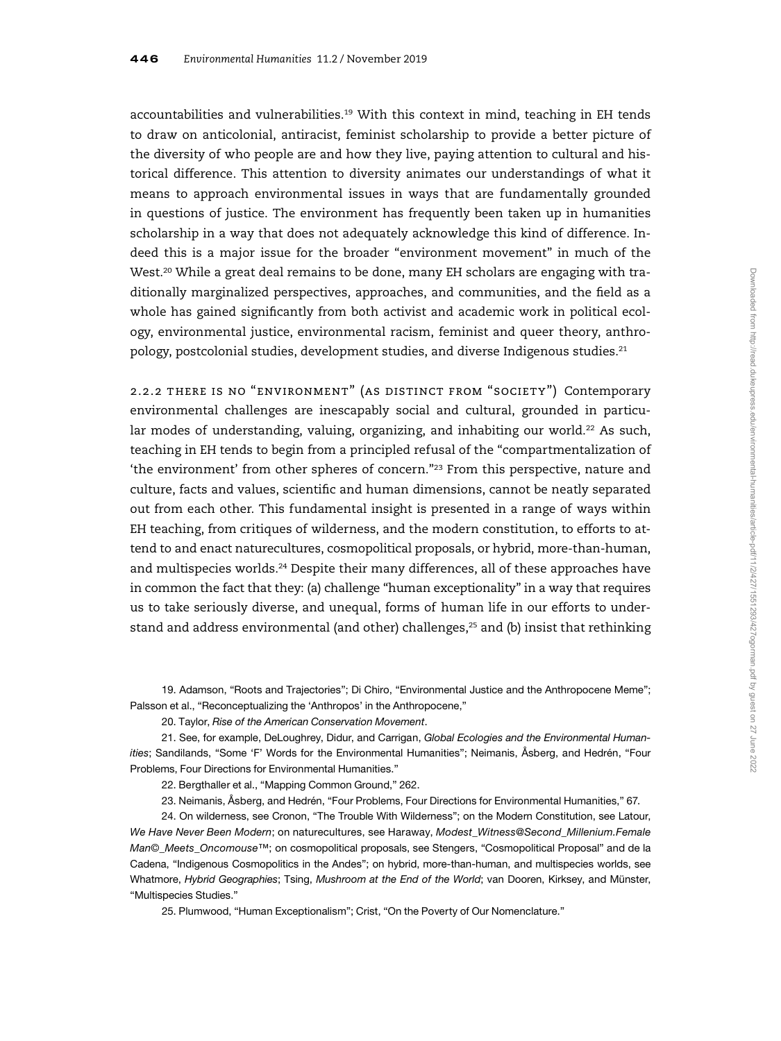accountabilities and vulnerabilities.<sup>19</sup> With this context in mind, teaching in EH tends to draw on anticolonial, antiracist, feminist scholarship to provide a better picture of the diversity of who people are and how they live, paying attention to cultural and historical difference. This attention to diversity animates our understandings of what it means to approach environmental issues in ways that are fundamentally grounded in questions of justice. The environment has frequently been taken up in humanities scholarship in a way that does not adequately acknowledge this kind of difference. Indeed this is a major issue for the broader "environment movement" in much of the West.<sup>20</sup> While a great deal remains to be done, many EH scholars are engaging with traditionally marginalized perspectives, approaches, and communities, and the field as a whole has gained significantly from both activist and academic work in political ecology, environmental justice, environmental racism, feminist and queer theory, anthropology, postcolonial studies, development studies, and diverse Indigenous studies.<sup>21</sup>

2.2.2 there is no "environment" (as distinct from "society") Contemporary environmental challenges are inescapably social and cultural, grounded in particular modes of understanding, valuing, organizing, and inhabiting our world.<sup>22</sup> As such, teaching in EH tends to begin from a principled refusal of the "compartmentalization of 'the environment' from other spheres of concern."<sup>23</sup> From this perspective, nature and culture, facts and values, scientific and human dimensions, cannot be neatly separated out from each other. This fundamental insight is presented in a range of ways within EH teaching, from critiques of wilderness, and the modern constitution, to efforts to attend to and enact naturecultures, cosmopolitical proposals, or hybrid, more-than-human, and multispecies worlds.<sup>24</sup> Despite their many differences, all of these approaches have in common the fact that they: (a) challenge "human exceptionality" in a way that requires us to take seriously diverse, and unequal, forms of human life in our efforts to understand and address environmental (and other) challenges, $25$  and (b) insist that rethinking

19. Adamson, "Roots and Trajectories"; Di Chiro, "Environmental Justice and the Anthropocene Meme"; Palsson et al., "Reconceptualizing the 'Anthropos' in the Anthropocene,"

20. Taylor, Rise of the American Conservation Movement.

21. See, for example, DeLoughrey, Didur, and Carrigan, Global Ecologies and the Environmental Humanities; Sandilands, "Some 'F' Words for the Environmental Humanities"; Neimanis, Åsberg, and Hedrén, "Four Problems, Four Directions for Environmental Humanities."

22. Bergthaller et al., "Mapping Common Ground," 262.

23. Neimanis, Åsberg, and Hedrén, "Four Problems, Four Directions for Environmental Humanities," 67.

24. On wilderness, see Cronon, "The Trouble With Wilderness"; on the Modern Constitution, see Latour, We Have Never Been Modern; on naturecultures, see Haraway, Modest\_Witness@Second\_Millenium.Female Man©\_Meets\_Oncomouse™; on cosmopolitical proposals, see Stengers, "Cosmopolitical Proposal" and de la Cadena, "Indigenous Cosmopolitics in the Andes"; on hybrid, more-than-human, and multispecies worlds, see Whatmore, Hybrid Geographies; Tsing, Mushroom at the End of the World; van Dooren, Kirksey, and Münster, "Multispecies Studies."

25. Plumwood, "Human Exceptionalism"; Crist, "On the Poverty of Our Nomenclature."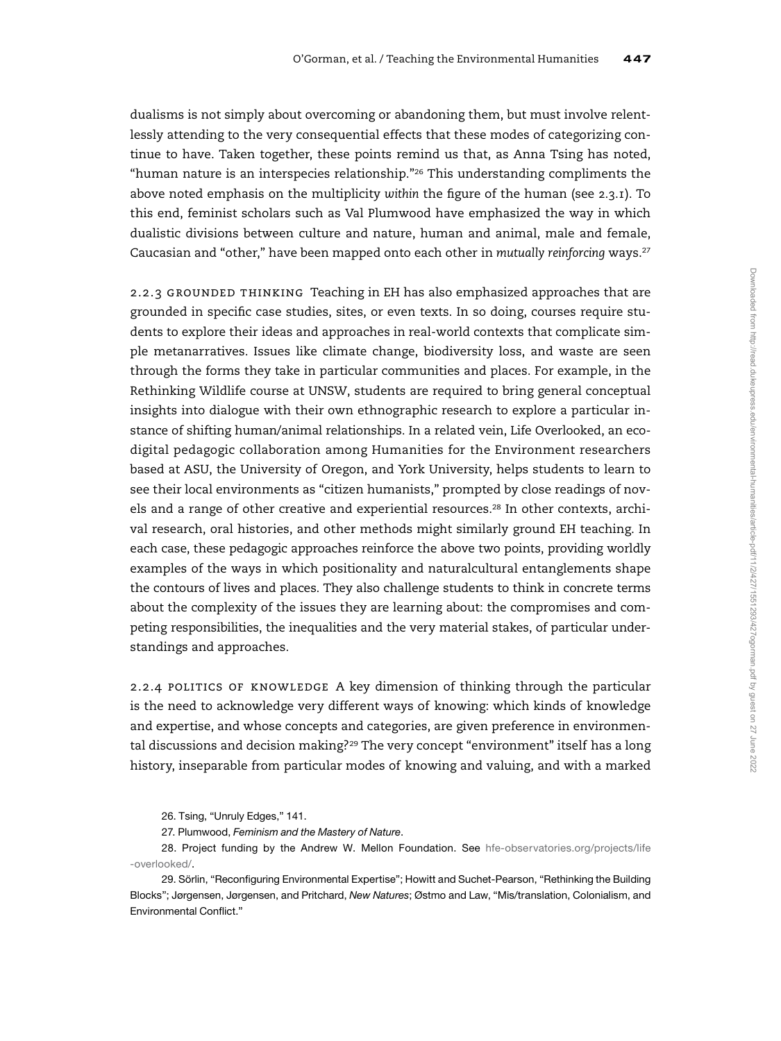dualisms is not simply about overcoming or abandoning them, but must involve relentlessly attending to the very consequential effects that these modes of categorizing continue to have. Taken together, these points remind us that, as Anna Tsing has noted, "human nature is an interspecies relationship."<sup>26</sup> This understanding compliments the above noted emphasis on the multiplicity within the figure of the human (see  $2.3.1$ ). To this end, feminist scholars such as Val Plumwood have emphasized the way in which dualistic divisions between culture and nature, human and animal, male and female, Caucasian and "other," have been mapped onto each other in mutually reinforcing ways.<sup>27</sup>

2.2.3 grounded thinking Teaching in EH has also emphasized approaches that are grounded in specific case studies, sites, or even texts. In so doing, courses require students to explore their ideas and approaches in real-world contexts that complicate simple metanarratives. Issues like climate change, biodiversity loss, and waste are seen through the forms they take in particular communities and places. For example, in the Rethinking Wildlife course at UNSW, students are required to bring general conceptual insights into dialogue with their own ethnographic research to explore a particular instance of shifting human/animal relationships. In a related vein, Life Overlooked, an ecodigital pedagogic collaboration among Humanities for the Environment researchers based at ASU, the University of Oregon, and York University, helps students to learn to see their local environments as "citizen humanists," prompted by close readings of novels and a range of other creative and experiential resources.<sup>28</sup> In other contexts, archival research, oral histories, and other methods might similarly ground EH teaching. In each case, these pedagogic approaches reinforce the above two points, providing worldly examples of the ways in which positionality and naturalcultural entanglements shape the contours of lives and places. They also challenge students to think in concrete terms about the complexity of the issues they are learning about: the compromises and competing responsibilities, the inequalities and the very material stakes, of particular understandings and approaches.

2.2.4 POLITICS OF KNOWLEDGE A key dimension of thinking through the particular is the need to acknowledge very different ways of knowing: which kinds of knowledge and expertise, and whose concepts and categories, are given preference in environmental discussions and decision making?<sup>29</sup> The very concept "environment" itself has a long history, inseparable from particular modes of knowing and valuing, and with a marked

26. Tsing, "Unruly Edges," 141.

27. Plumwood, Feminism and the Mastery of Nature.

28. Project funding by the Andrew W. Mellon Foundation. See [hfe-observatories.org/projects/life](http://hfe-observatories.org/projects/life-overlooked/) [-overlooked/.](http://hfe-observatories.org/projects/life-overlooked/)

29. Sörlin, "Reconfiguring Environmental Expertise"; Howitt and Suchet-Pearson, "Rethinking the Building Blocks"; Jørgensen, Jørgensen, and Pritchard, New Natures; Østmo and Law, "Mis/translation, Colonialism, and Environmental Conflict."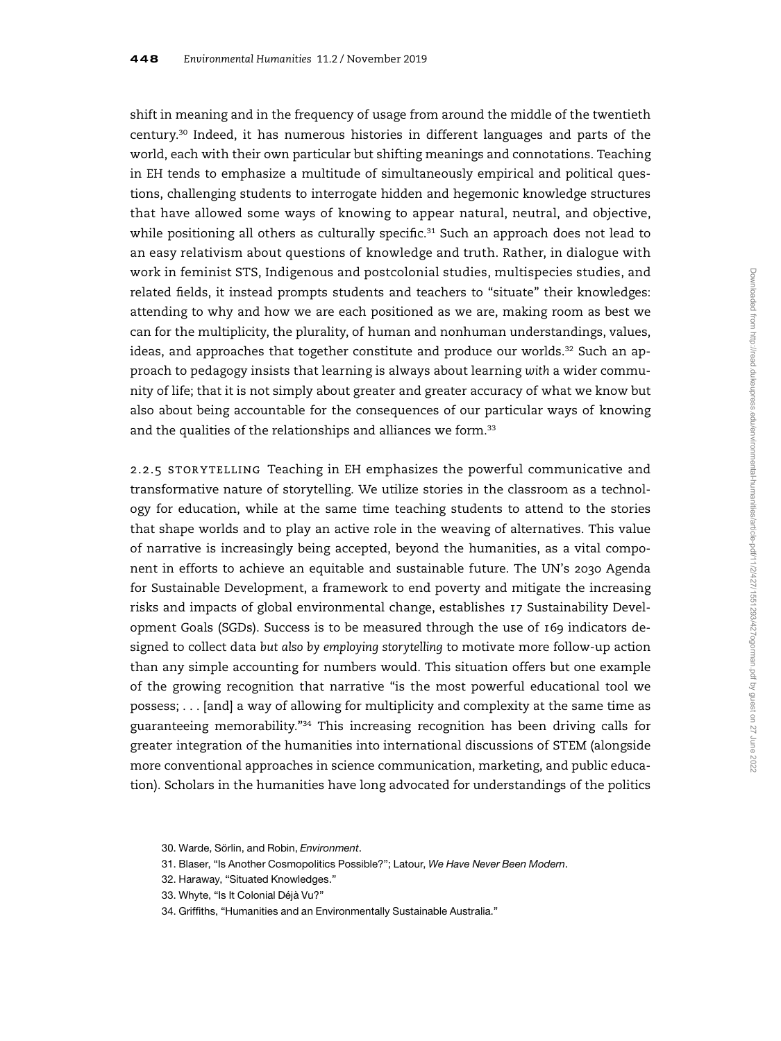shift in meaning and in the frequency of usage from around the middle of the twentieth century.<sup>30</sup> Indeed, it has numerous histories in different languages and parts of the world, each with their own particular but shifting meanings and connotations. Teaching in EH tends to emphasize a multitude of simultaneously empirical and political questions, challenging students to interrogate hidden and hegemonic knowledge structures that have allowed some ways of knowing to appear natural, neutral, and objective, while positioning all others as culturally specific. $31$  Such an approach does not lead to an easy relativism about questions of knowledge and truth. Rather, in dialogue with work in feminist STS, Indigenous and postcolonial studies, multispecies studies, and related fields, it instead prompts students and teachers to "situate" their knowledges: attending to why and how we are each positioned as we are, making room as best we can for the multiplicity, the plurality, of human and nonhuman understandings, values, ideas, and approaches that together constitute and produce our worlds. $32$  Such an approach to pedagogy insists that learning is always about learning with a wider community of life; that it is not simply about greater and greater accuracy of what we know but also about being accountable for the consequences of our particular ways of knowing and the qualities of the relationships and alliances we form.<sup>33</sup>

2.2.5 STORYTELLING Teaching in EH emphasizes the powerful communicative and transformative nature of storytelling. We utilize stories in the classroom as a technology for education, while at the same time teaching students to attend to the stories that shape worlds and to play an active role in the weaving of alternatives. This value of narrative is increasingly being accepted, beyond the humanities, as a vital component in efforts to achieve an equitable and sustainable future. The UN's 2030 Agenda for Sustainable Development, a framework to end poverty and mitigate the increasing risks and impacts of global environmental change, establishes 17 Sustainability Development Goals (SGDs). Success is to be measured through the use of 169 indicators designed to collect data but also by employing storytelling to motivate more follow-up action than any simple accounting for numbers would. This situation offers but one example of the growing recognition that narrative "is the most powerful educational tool we possess; . . . [and] a way of allowing for multiplicity and complexity at the same time as guaranteeing memorability."<sup>34</sup> This increasing recognition has been driving calls for greater integration of the humanities into international discussions of STEM (alongside more conventional approaches in science communication, marketing, and public education). Scholars in the humanities have long advocated for understandings of the politics

<sup>30.</sup> Warde, Sörlin, and Robin, Environment.

<sup>31.</sup> Blaser, "Is Another Cosmopolitics Possible?"; Latour, We Have Never Been Modern.

<sup>32.</sup> Haraway, "Situated Knowledges."

<sup>33.</sup> Whyte, "Is It Colonial Déjà Vu?"

<sup>34.</sup> Griffiths, "Humanities and an Environmentally Sustainable Australia."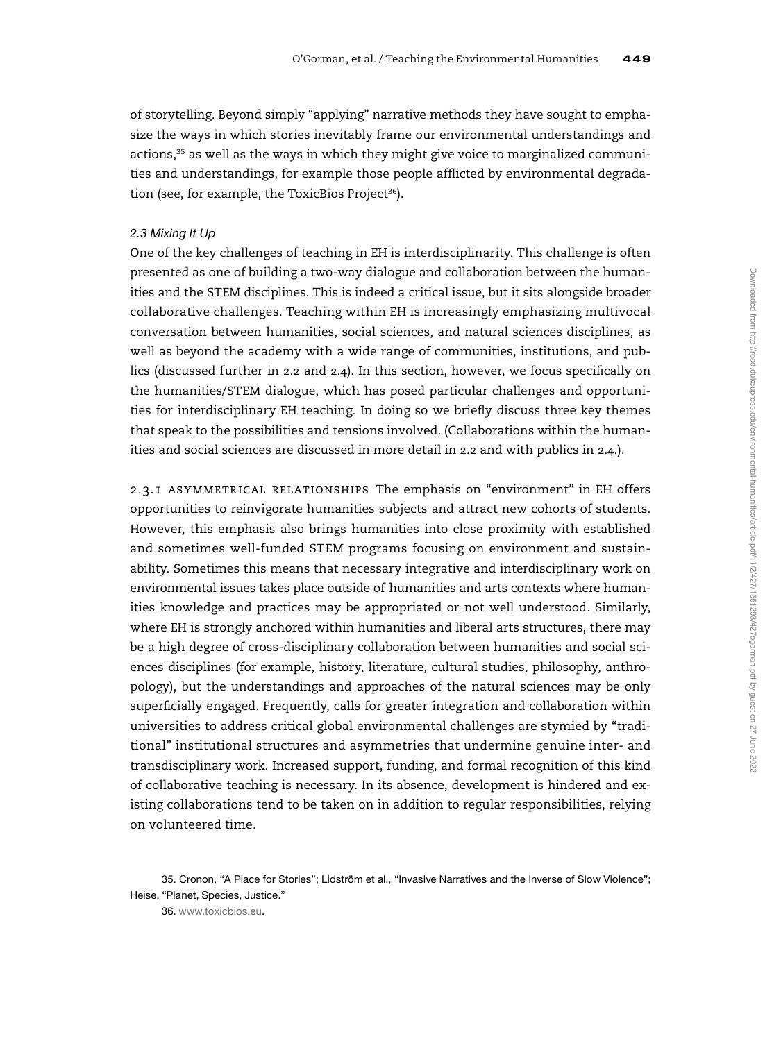of storytelling. Beyond simply "applying" narrative methods they have sought to emphasize the ways in which stories inevitably frame our environmental understandings and actions, $35$  as well as the ways in which they might give voice to marginalized communities and understandings, for example those people afflicted by environmental degradation (see, for example, the ToxicBios Project<sup>36</sup>).

#### 2.3 Mixing It Up

One of the key challenges of teaching in EH is interdisciplinarity. This challenge is often presented as one of building a two-way dialogue and collaboration between the humanities and the STEM disciplines. This is indeed a critical issue, but it sits alongside broader collaborative challenges. Teaching within EH is increasingly emphasizing multivocal conversation between humanities, social sciences, and natural sciences disciplines, as well as beyond the academy with a wide range of communities, institutions, and publics (discussed further in 2.2 and 2.4). In this section, however, we focus specifically on the humanities/STEM dialogue, which has posed particular challenges and opportunities for interdisciplinary EH teaching. In doing so we briefly discuss three key themes that speak to the possibilities and tensions involved. (Collaborations within the humanities and social sciences are discussed in more detail in 2.2 and with publics in 2.4.).

2.3.1 asymmetrical relationships The emphasis on "environment" in EH offers opportunities to reinvigorate humanities subjects and attract new cohorts of students. However, this emphasis also brings humanities into close proximity with established and sometimes well-funded STEM programs focusing on environment and sustainability. Sometimes this means that necessary integrative and interdisciplinary work on environmental issues takes place outside of humanities and arts contexts where humanities knowledge and practices may be appropriated or not well understood. Similarly, where EH is strongly anchored within humanities and liberal arts structures, there may be a high degree of cross-disciplinary collaboration between humanities and social sciences disciplines (for example, history, literature, cultural studies, philosophy, anthropology), but the understandings and approaches of the natural sciences may be only superficially engaged. Frequently, calls for greater integration and collaboration within universities to address critical global environmental challenges are stymied by "traditional" institutional structures and asymmetries that undermine genuine inter- and transdisciplinary work. Increased support, funding, and formal recognition of this kind of collaborative teaching is necessary. In its absence, development is hindered and existing collaborations tend to be taken on in addition to regular responsibilities, relying on volunteered time.

<sup>35.</sup> Cronon, "A Place for Stories"; Lidström et al., "Invasive Narratives and the Inverse of Slow Violence"; Heise, "Planet, Species, Justice."

<sup>36.</sup> [www.toxicbios.eu](http://www.toxicbios.eu).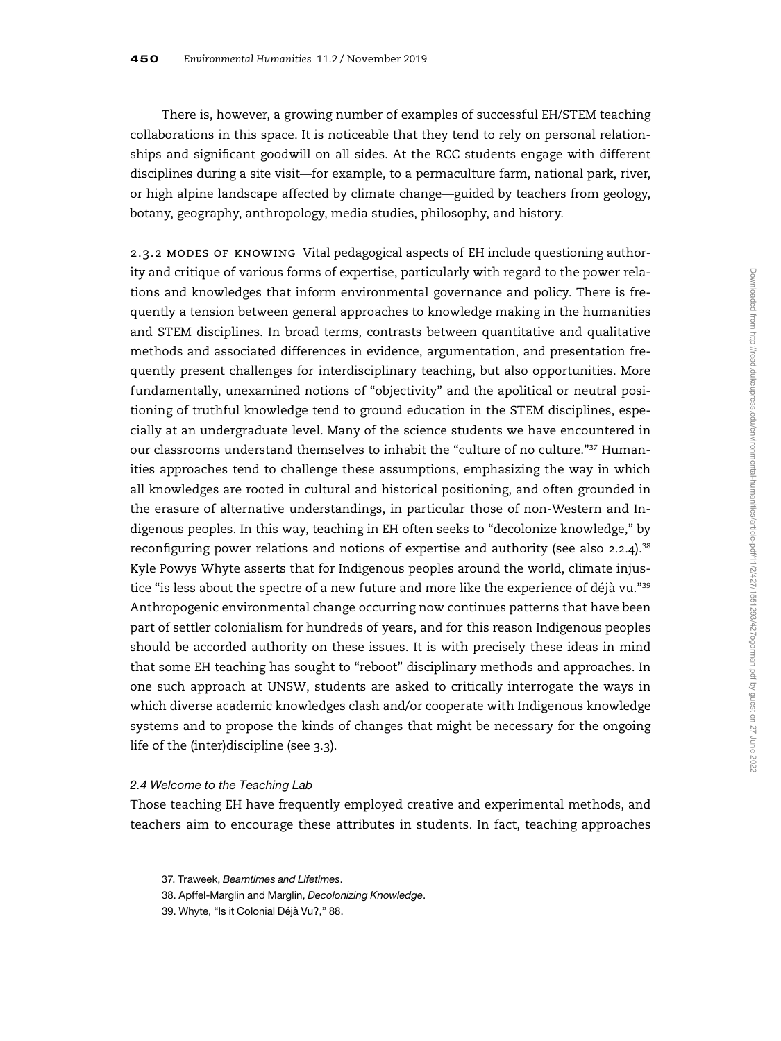There is, however, a growing number of examples of successful EH/STEM teaching collaborations in this space. It is noticeable that they tend to rely on personal relationships and significant goodwill on all sides. At the RCC students engage with different disciplines during a site visit—for example, to a permaculture farm, national park, river, or high alpine landscape affected by climate change—guided by teachers from geology, botany, geography, anthropology, media studies, philosophy, and history.

2.3.2 modes of knowing Vital pedagogical aspects of EH include questioning authority and critique of various forms of expertise, particularly with regard to the power relations and knowledges that inform environmental governance and policy. There is frequently a tension between general approaches to knowledge making in the humanities and STEM disciplines. In broad terms, contrasts between quantitative and qualitative methods and associated differences in evidence, argumentation, and presentation frequently present challenges for interdisciplinary teaching, but also opportunities. More fundamentally, unexamined notions of "objectivity" and the apolitical or neutral positioning of truthful knowledge tend to ground education in the STEM disciplines, especially at an undergraduate level. Many of the science students we have encountered in our classrooms understand themselves to inhabit the "culture of no culture."<sup>37</sup> Humanities approaches tend to challenge these assumptions, emphasizing the way in which all knowledges are rooted in cultural and historical positioning, and often grounded in the erasure of alternative understandings, in particular those of non-Western and Indigenous peoples. In this way, teaching in EH often seeks to "decolonize knowledge," by reconfiguring power relations and notions of expertise and authority (see also  $2.2.4$ ).<sup>38</sup> Kyle Powys Whyte asserts that for Indigenous peoples around the world, climate injustice "is less about the spectre of a new future and more like the experience of déjà vu."<sup>39</sup> Anthropogenic environmental change occurring now continues patterns that have been part of settler colonialism for hundreds of years, and for this reason Indigenous peoples should be accorded authority on these issues. It is with precisely these ideas in mind that some EH teaching has sought to "reboot" disciplinary methods and approaches. In one such approach at UNSW, students are asked to critically interrogate the ways in which diverse academic knowledges clash and/or cooperate with Indigenous knowledge systems and to propose the kinds of changes that might be necessary for the ongoing life of the (inter)discipline (see 3.3).

## 2.4 Welcome to the Teaching Lab

Those teaching EH have frequently employed creative and experimental methods, and teachers aim to encourage these attributes in students. In fact, teaching approaches

37. Traweek, Beamtimes and Lifetimes.

38. Apffel-Marglin and Marglin, Decolonizing Knowledge.

39. Whyte, "Is it Colonial Déjà Vu?," 88.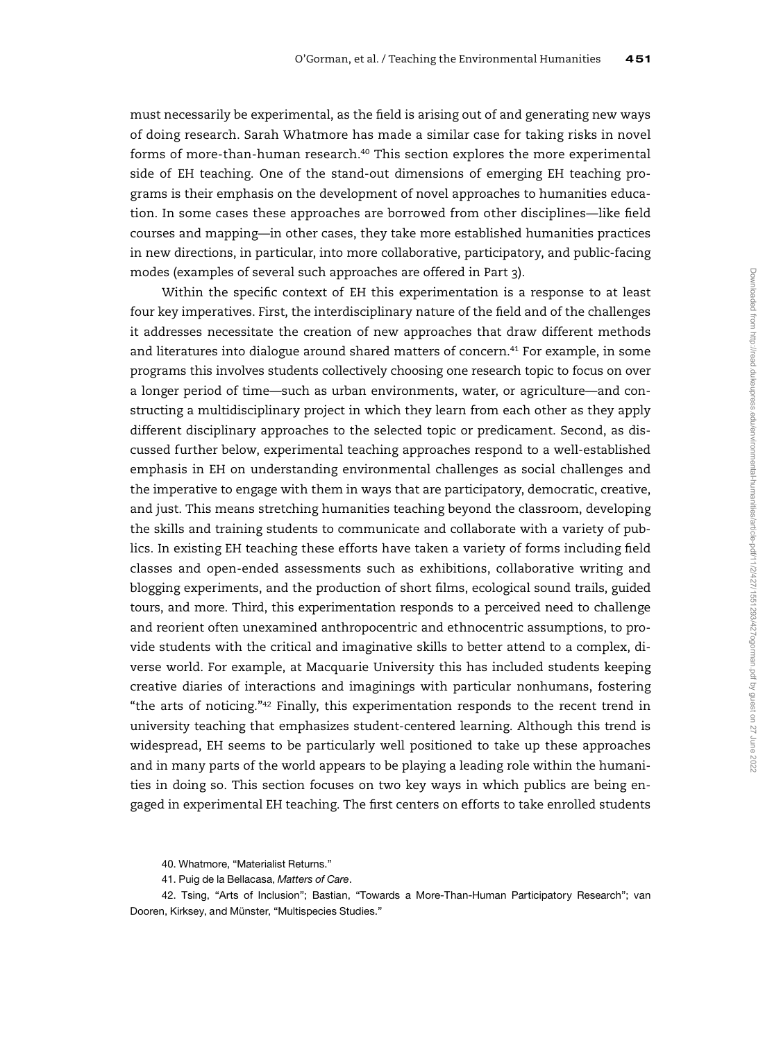must necessarily be experimental, as the field is arising out of and generating new ways of doing research. Sarah Whatmore has made a similar case for taking risks in novel forms of more-than-human research.<sup>40</sup> This section explores the more experimental side of EH teaching. One of the stand-out dimensions of emerging EH teaching programs is their emphasis on the development of novel approaches to humanities education. In some cases these approaches are borrowed from other disciplines—like field courses and mapping—in other cases, they take more established humanities practices in new directions, in particular, into more collaborative, participatory, and public-facing modes (examples of several such approaches are offered in Part 3).

Within the specific context of EH this experimentation is a response to at least four key imperatives. First, the interdisciplinary nature of the field and of the challenges it addresses necessitate the creation of new approaches that draw different methods and literatures into dialogue around shared matters of concern.<sup>41</sup> For example, in some programs this involves students collectively choosing one research topic to focus on over a longer period of time—such as urban environments, water, or agriculture—and constructing a multidisciplinary project in which they learn from each other as they apply different disciplinary approaches to the selected topic or predicament. Second, as discussed further below, experimental teaching approaches respond to a well-established emphasis in EH on understanding environmental challenges as social challenges and the imperative to engage with them in ways that are participatory, democratic, creative, and just. This means stretching humanities teaching beyond the classroom, developing the skills and training students to communicate and collaborate with a variety of publics. In existing EH teaching these efforts have taken a variety of forms including field classes and open-ended assessments such as exhibitions, collaborative writing and blogging experiments, and the production of short films, ecological sound trails, guided tours, and more. Third, this experimentation responds to a perceived need to challenge and reorient often unexamined anthropocentric and ethnocentric assumptions, to provide students with the critical and imaginative skills to better attend to a complex, diverse world. For example, at Macquarie University this has included students keeping creative diaries of interactions and imaginings with particular nonhumans, fostering "the arts of noticing." $42$  Finally, this experimentation responds to the recent trend in university teaching that emphasizes student-centered learning. Although this trend is widespread, EH seems to be particularly well positioned to take up these approaches and in many parts of the world appears to be playing a leading role within the humanities in doing so. This section focuses on two key ways in which publics are being engaged in experimental EH teaching. The first centers on efforts to take enrolled students

42. Tsing, "Arts of Inclusion"; Bastian, "Towards a More-Than-Human Participatory Research"; van Dooren, Kirksey, and Münster, "Multispecies Studies."

<sup>40.</sup> Whatmore, "Materialist Returns."

<sup>41.</sup> Puig de la Bellacasa, Matters of Care.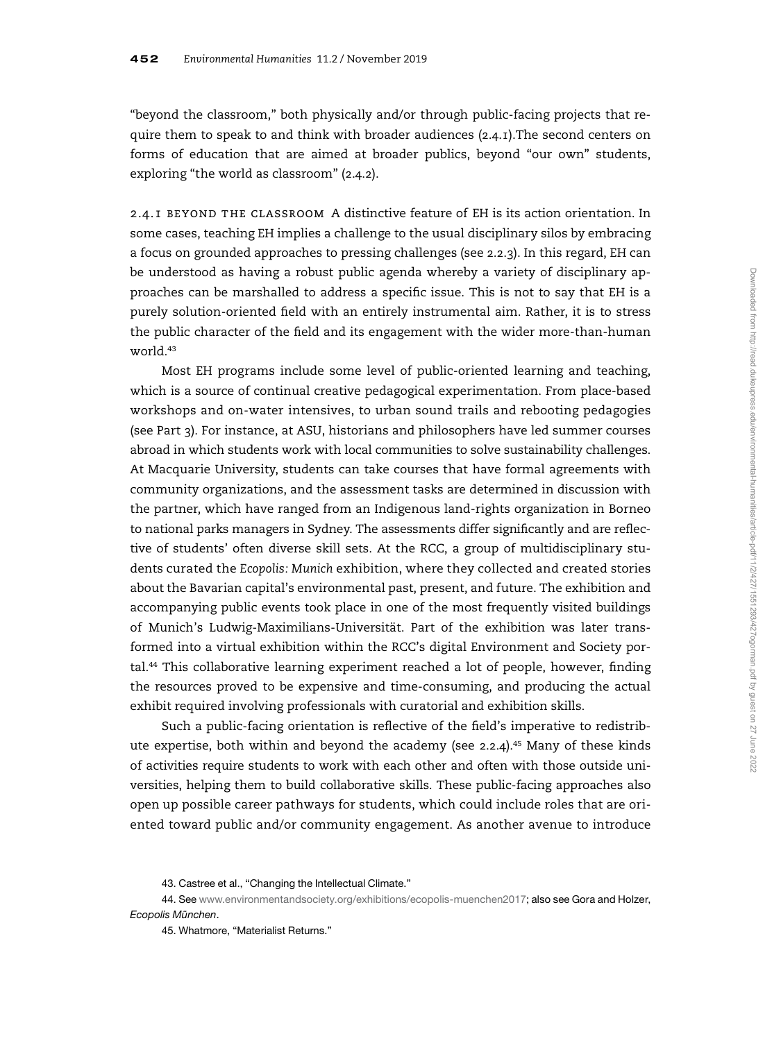"beyond the classroom," both physically and/or through public-facing projects that require them to speak to and think with broader audiences (2.4.1).The second centers on forms of education that are aimed at broader publics, beyond "our own" students, exploring "the world as classroom" (2.4.2).

2.4.1 beyond the classroom A distinctive feature of EH is its action orientation. In some cases, teaching EH implies a challenge to the usual disciplinary silos by embracing a focus on grounded approaches to pressing challenges (see 2.2.3). In this regard, EH can be understood as having a robust public agenda whereby a variety of disciplinary approaches can be marshalled to address a specific issue. This is not to say that EH is a purely solution-oriented field with an entirely instrumental aim. Rather, it is to stress the public character of the field and its engagement with the wider more-than-human world.<sup>43</sup>

Most EH programs include some level of public-oriented learning and teaching, which is a source of continual creative pedagogical experimentation. From place-based workshops and on-water intensives, to urban sound trails and rebooting pedagogies (see Part 3). For instance, at ASU, historians and philosophers have led summer courses abroad in which students work with local communities to solve sustainability challenges. At Macquarie University, students can take courses that have formal agreements with community organizations, and the assessment tasks are determined in discussion with the partner, which have ranged from an Indigenous land-rights organization in Borneo to national parks managers in Sydney. The assessments differ significantly and are reflective of students' often diverse skill sets. At the RCC, a group of multidisciplinary students curated the Ecopolis: Munich exhibition, where they collected and created stories about the Bavarian capital's environmental past, present, and future. The exhibition and accompanying public events took place in one of the most frequently visited buildings of Munich's Ludwig-Maximilians-Universität. Part of the exhibition was later transformed into a virtual exhibition within the RCC's digital Environment and Society por $tal<sup>44</sup>$  This collaborative learning experiment reached a lot of people, however, finding the resources proved to be expensive and time-consuming, and producing the actual exhibit required involving professionals with curatorial and exhibition skills.

Such a public-facing orientation is reflective of the field's imperative to redistribute expertise, both within and beyond the academy (see 2.2.4).<sup>45</sup> Many of these kinds of activities require students to work with each other and often with those outside universities, helping them to build collaborative skills. These public-facing approaches also open up possible career pathways for students, which could include roles that are oriented toward public and/or community engagement. As another avenue to introduce

44. See [www.environmentandsociety.org/exhibitions/ecopolis-muenchen2017](http://www.environmentandsociety.org/exhibitions/ecopolis-muenchen2017); also see Gora and Holzer, Ecopolis München.

45. Whatmore, "Materialist Returns."

<sup>43.</sup> Castree et al., "Changing the Intellectual Climate."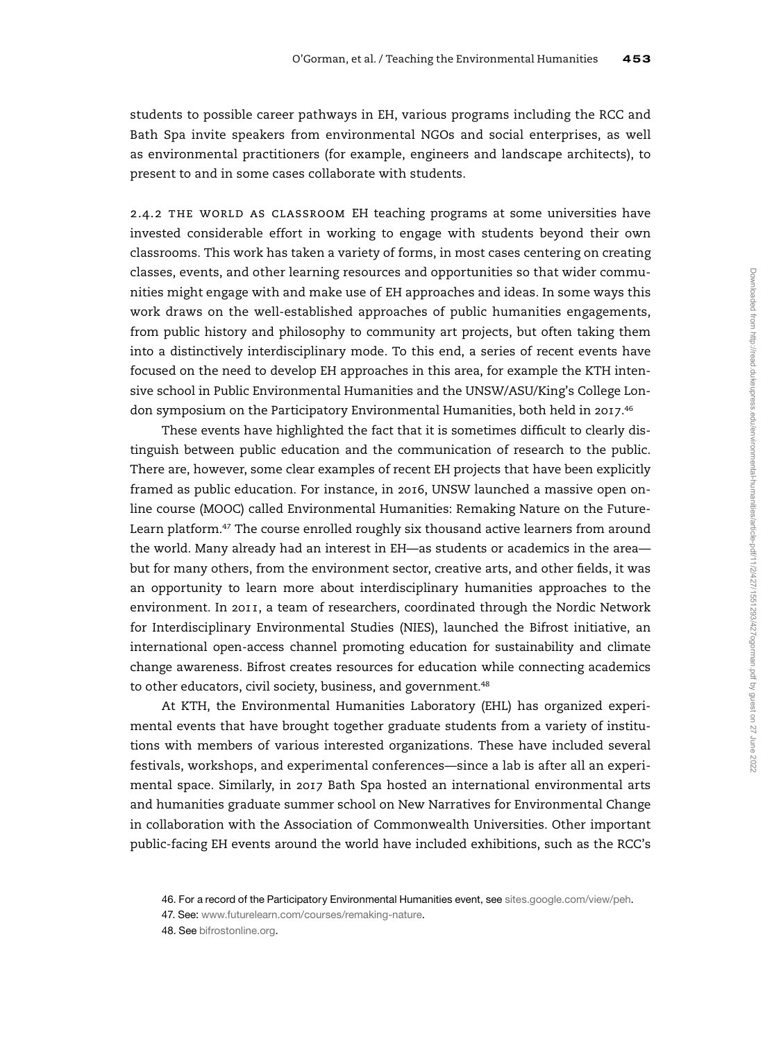students to possible career pathways in EH, various programs including the RCC and Bath Spa invite speakers from environmental NGOs and social enterprises, as well as environmental practitioners (for example, engineers and landscape architects), to present to and in some cases collaborate with students.

2.4.2 THE WORLD AS CLASSROOM EH teaching programs at some universities have invested considerable effort in working to engage with students beyond their own classrooms. This work has taken a variety of forms, in most cases centering on creating classes, events, and other learning resources and opportunities so that wider communities might engage with and make use of EH approaches and ideas. In some ways this work draws on the well-established approaches of public humanities engagements, from public history and philosophy to community art projects, but often taking them into a distinctively interdisciplinary mode. To this end, a series of recent events have focused on the need to develop EH approaches in this area, for example the KTH intensive school in Public Environmental Humanities and the UNSW/ASU/King's College London symposium on the Participatory Environmental Humanities, both held in 2017.<sup>46</sup>

These events have highlighted the fact that it is sometimes difficult to clearly distinguish between public education and the communication of research to the public. There are, however, some clear examples of recent EH projects that have been explicitly framed as public education. For instance, in 2016, UNSW launched a massive open online course (MOOC) called Environmental Humanities: Remaking Nature on the Future-Learn platform.<sup>47</sup> The course enrolled roughly six thousand active learners from around the world. Many already had an interest in EH—as students or academics in the area but for many others, from the environment sector, creative arts, and other fields, it was an opportunity to learn more about interdisciplinary humanities approaches to the environment. In 2011, a team of researchers, coordinated through the Nordic Network for Interdisciplinary Environmental Studies (NIES), launched the Bifrost initiative, an international open-access channel promoting education for sustainability and climate change awareness. Bifrost creates resources for education while connecting academics to other educators, civil society, business, and government.<sup>48</sup>

At KTH, the Environmental Humanities Laboratory (EHL) has organized experimental events that have brought together graduate students from a variety of institutions with members of various interested organizations. These have included several festivals, workshops, and experimental conferences—since a lab is after all an experimental space. Similarly, in 2017 Bath Spa hosted an international environmental arts and humanities graduate summer school on New Narratives for Environmental Change in collaboration with the Association of Commonwealth Universities. Other important public-facing EH events around the world have included exhibitions, such as the RCC's

<sup>46.</sup> For a record of the Participatory Environmental Humanities event, see [sites.google.com/view/peh.](http://sites.google.com/view/peh)

<sup>47.</sup> See: [www.futurelearn.com/courses/remaking-nature.](http://www.futurelearn.com/courses/remaking-nature)

<sup>48.</sup> See [bifrostonline.org](http://bifrostonline.org).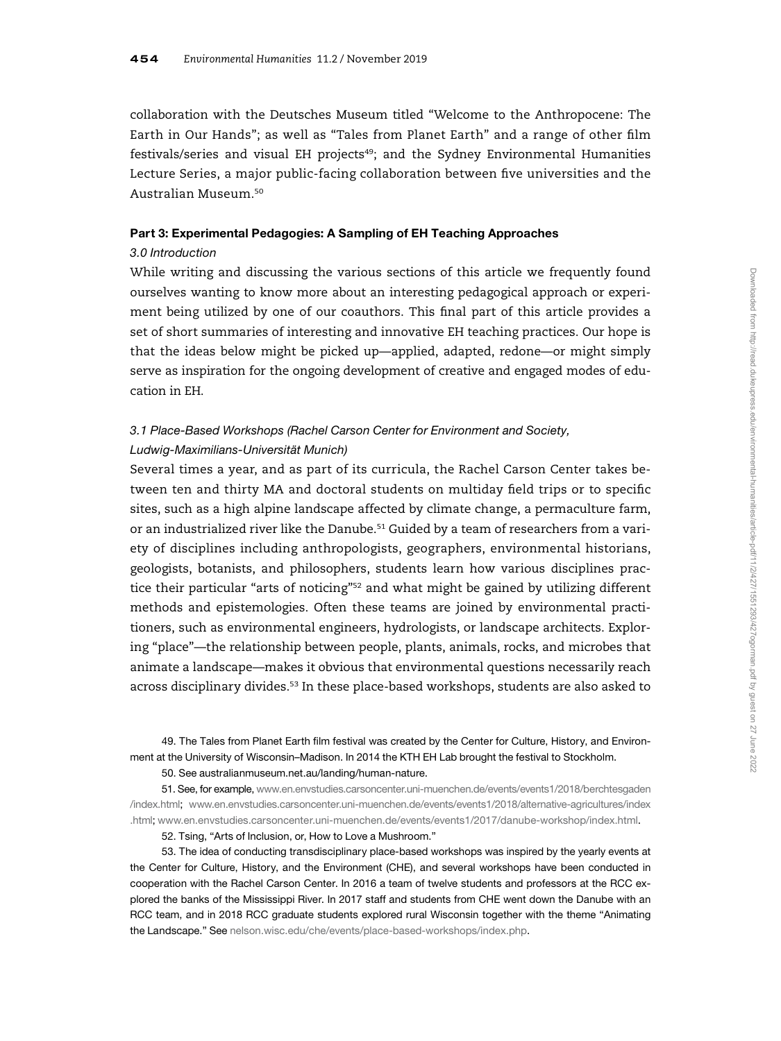collaboration with the Deutsches Museum titled "Welcome to the Anthropocene: The Earth in Our Hands"; as well as "Tales from Planet Earth" and a range of other film  $f$ estivals/series and visual EH projects $49$ ; and the Sydney Environmental Humanities Lecture Series, a major public-facing collaboration between five universities and the Australian Museum.<sup>50</sup>

## Part 3: Experimental Pedagogies: A Sampling of EH Teaching Approaches

## 3.0 Introduction

While writing and discussing the various sections of this article we frequently found ourselves wanting to know more about an interesting pedagogical approach or experiment being utilized by one of our coauthors. This final part of this article provides a set of short summaries of interesting and innovative EH teaching practices. Our hope is that the ideas below might be picked up—applied, adapted, redone—or might simply serve as inspiration for the ongoing development of creative and engaged modes of education in EH.

# 3.1 Place-Based Workshops (Rachel Carson Center for Environment and Society, Ludwig-Maximilians-Universität Munich)

Several times a year, and as part of its curricula, the Rachel Carson Center takes between ten and thirty MA and doctoral students on multiday field trips or to specific sites, such as a high alpine landscape affected by climate change, a permaculture farm, or an industrialized river like the Danube.<sup>51</sup> Guided by a team of researchers from a variety of disciplines including anthropologists, geographers, environmental historians, geologists, botanists, and philosophers, students learn how various disciplines practice their particular "arts of noticing"<sup>52</sup> and what might be gained by utilizing different methods and epistemologies. Often these teams are joined by environmental practitioners, such as environmental engineers, hydrologists, or landscape architects. Exploring "place"—the relationship between people, plants, animals, rocks, and microbes that animate a landscape—makes it obvious that environmental questions necessarily reach across disciplinary divides.<sup>53</sup> In these place-based workshops, students are also asked to

49. The Tales from Planet Earth film festival was created by the Center for Culture, History, and Environment at the University of Wisconsin–Madison. In 2014 the KTH EH Lab brought the festival to Stockholm.

50. See australianmuseum.net.au/landing/human-nature.

51. See, for example, [www.en.envstudies.carsoncenter.uni-muenchen.de/events/events1/2018/berchtesgaden](http://www.en.envstudies.carsoncenter.uni-muenchen.de/events/events1/2018/berchtesgaden/index.html) [/index.html;](http://www.en.envstudies.carsoncenter.uni-muenchen.de/events/events1/2018/berchtesgaden/index.html) [www.en.envstudies.carsoncenter.uni-muenchen.de/events/events1/2018/alternative-agricultures/index](http://www.en.envstudies.carsoncenter.uni-muenchen.de/events/events1/2018/alternative-agricultures/index.html) [.html;](http://www.en.envstudies.carsoncenter.uni-muenchen.de/events/events1/2018/alternative-agricultures/index.html) [www.en.envstudies.carsoncenter.uni-muenchen.de/events/events1/2017/danube-workshop/index.html](http://www.en.envstudies.carsoncenter.uni-muenchen.de/events/events1/2017/danube-workshop/index.html).

52. Tsing, "Arts of Inclusion, or, How to Love a Mushroom."

53. The idea of conducting transdisciplinary place-based workshops was inspired by the yearly events at the Center for Culture, History, and the Environment (CHE), and several workshops have been conducted in cooperation with the Rachel Carson Center. In 2016 a team of twelve students and professors at the RCC explored the banks of the Mississippi River. In 2017 staff and students from CHE went down the Danube with an RCC team, and in 2018 RCC graduate students explored rural Wisconsin together with the theme "Animating the Landscape." See [nelson.wisc.edu/che/events/place-based-workshops/index.php.](http://nelson.wisc.edu/che/events/place-based-workshops/index.php)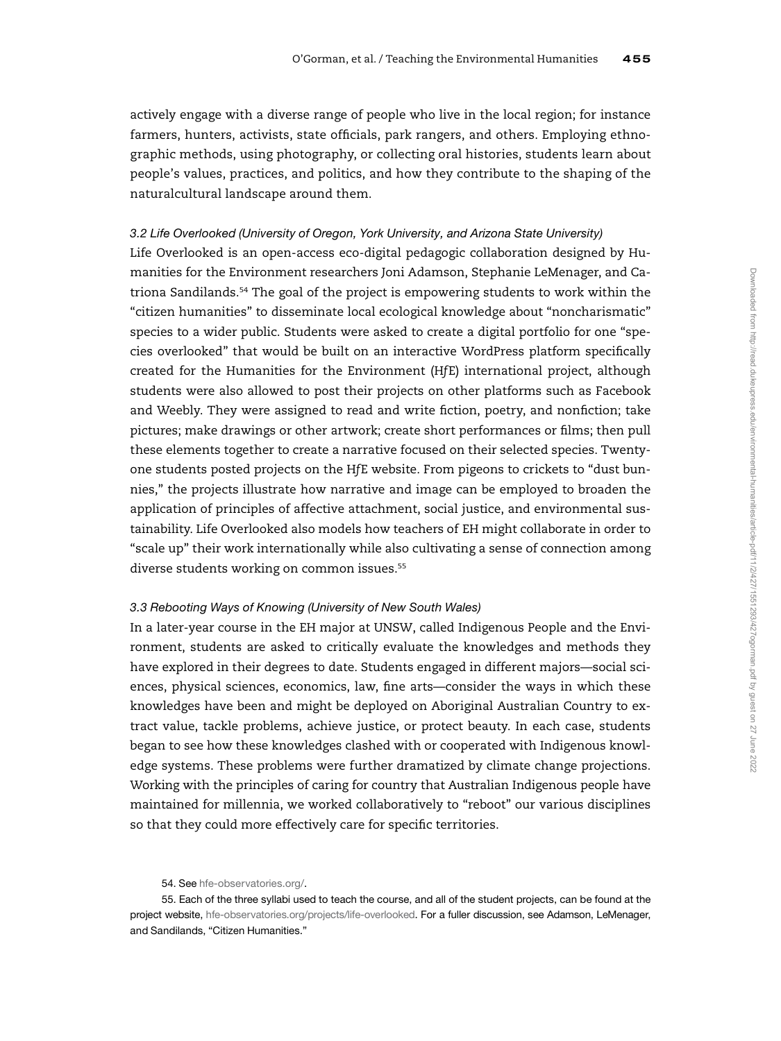actively engage with a diverse range of people who live in the local region; for instance farmers, hunters, activists, state officials, park rangers, and others. Employing ethnographic methods, using photography, or collecting oral histories, students learn about people's values, practices, and politics, and how they contribute to the shaping of the naturalcultural landscape around them.

## 3.2 Life Overlooked (University of Oregon, York University, and Arizona State University)

Life Overlooked is an open-access eco-digital pedagogic collaboration designed by Humanities for the Environment researchers Joni Adamson, Stephanie LeMenager, and Catriona Sandilands.<sup>54</sup> The goal of the project is empowering students to work within the "citizen humanities" to disseminate local ecological knowledge about "noncharismatic" species to a wider public. Students were asked to create a digital portfolio for one "species overlooked" that would be built on an interactive WordPress platform specifically created for the Humanities for the Environment (HfE) international project, although students were also allowed to post their projects on other platforms such as Facebook and Weebly. They were assigned to read and write fiction, poetry, and nonfiction; take pictures; make drawings or other artwork; create short performances or films; then pull these elements together to create a narrative focused on their selected species. Twentyone students posted projects on the HfE website. From pigeons to crickets to "dust bunnies," the projects illustrate how narrative and image can be employed to broaden the application of principles of affective attachment, social justice, and environmental sustainability. Life Overlooked also models how teachers of EH might collaborate in order to "scale up" their work internationally while also cultivating a sense of connection among diverse students working on common issues.<sup>55</sup>

## 3.3 Rebooting Ways of Knowing (University of New South Wales)

In a later-year course in the EH major at UNSW, called Indigenous People and the Environment, students are asked to critically evaluate the knowledges and methods they have explored in their degrees to date. Students engaged in different majors—social sciences, physical sciences, economics, law, fine arts—consider the ways in which these knowledges have been and might be deployed on Aboriginal Australian Country to extract value, tackle problems, achieve justice, or protect beauty. In each case, students began to see how these knowledges clashed with or cooperated with Indigenous knowledge systems. These problems were further dramatized by climate change projections. Working with the principles of caring for country that Australian Indigenous people have maintained for millennia, we worked collaboratively to "reboot" our various disciplines so that they could more effectively care for specific territories.

<sup>54.</sup> See [hfe-observatories.org/](http://hfe-observatories.org/).

<sup>55.</sup> Each of the three syllabi used to teach the course, and all of the student projects, can be found at the project website, [hfe-observatories.org/projects/life-overlooked](http://hfe-observatories.org/projects/life-overlooked). For a fuller discussion, see Adamson, LeMenager, and Sandilands, "Citizen Humanities."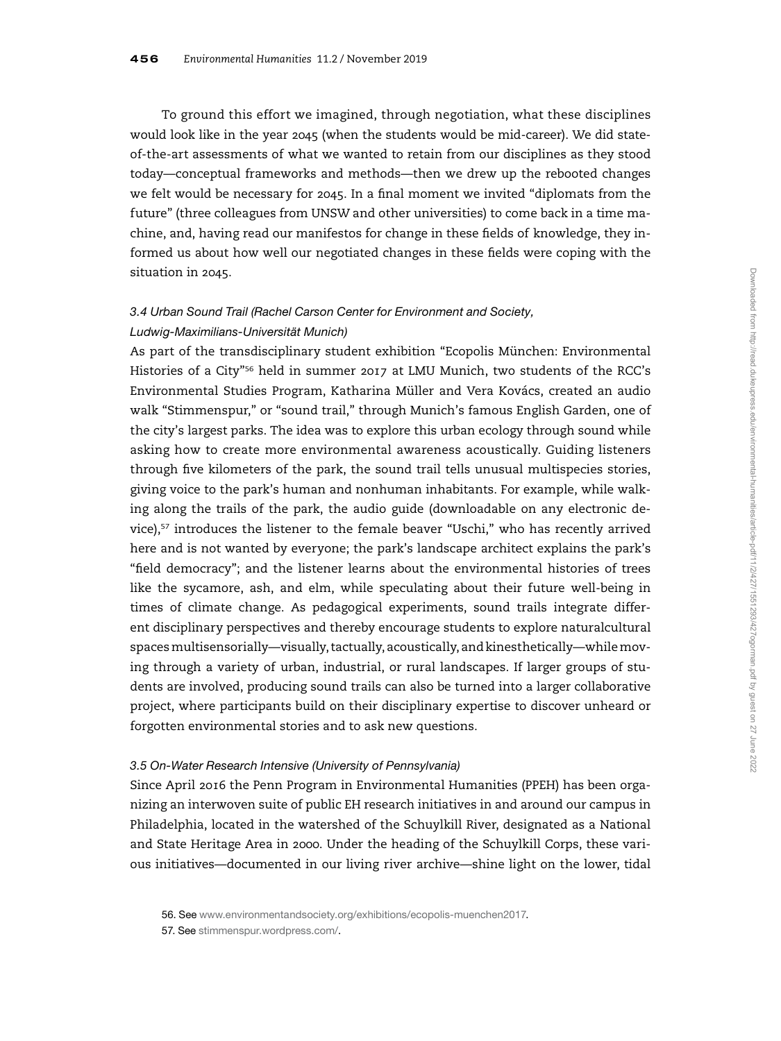To ground this effort we imagined, through negotiation, what these disciplines would look like in the year 2045 (when the students would be mid-career). We did stateof-the-art assessments of what we wanted to retain from our disciplines as they stood today—conceptual frameworks and methods—then we drew up the rebooted changes we felt would be necessary for 2045. In a final moment we invited "diplomats from the future" (three colleagues from UNSW and other universities) to come back in a time machine, and, having read our manifestos for change in these fields of knowledge, they informed us about how well our negotiated changes in these fields were coping with the situation in 2045.

# 3.4 Urban Sound Trail (Rachel Carson Center for Environment and Society, Ludwig-Maximilians-Universität Munich)

As part of the transdisciplinary student exhibition "Ecopolis München: Environmental Histories of a City"<sup>56</sup> held in summer 2017 at LMU Munich, two students of the RCC's Environmental Studies Program, Katharina Müller and Vera Kovács, created an audio walk "Stimmenspur," or "sound trail," through Munich's famous English Garden, one of the city's largest parks. The idea was to explore this urban ecology through sound while asking how to create more environmental awareness acoustically. Guiding listeners through five kilometers of the park, the sound trail tells unusual multispecies stories, giving voice to the park's human and nonhuman inhabitants. For example, while walking along the trails of the park, the audio guide (downloadable on any electronic device), $57$  introduces the listener to the female beaver "Uschi," who has recently arrived here and is not wanted by everyone; the park's landscape architect explains the park's "field democracy"; and the listener learns about the environmental histories of trees like the sycamore, ash, and elm, while speculating about their future well-being in times of climate change. As pedagogical experiments, sound trails integrate different disciplinary perspectives and thereby encourage students to explore naturalcultural spacesmultisensorially—visually, tactually, acoustically, and kinesthetically—whilemoving through a variety of urban, industrial, or rural landscapes. If larger groups of students are involved, producing sound trails can also be turned into a larger collaborative project, where participants build on their disciplinary expertise to discover unheard or forgotten environmental stories and to ask new questions.

## 3.5 On-Water Research Intensive (University of Pennsylvania)

Since April 2016 the Penn Program in Environmental Humanities (PPEH) has been organizing an interwoven suite of public EH research initiatives in and around our campus in Philadelphia, located in the watershed of the Schuylkill River, designated as a National and State Heritage Area in 2000. Under the heading of the Schuylkill Corps, these various initiatives—documented in our living river archive—shine light on the lower, tidal

57. See [stimmenspur.wordpress.com/](http://stimmenspur.wordpress.com/).

<sup>56.</sup> See [www.environmentandsociety.org/exhibitions/ecopolis-muenchen2017.](http://www.environmentandsociety.org/exhibitions/ecopolis-muenchen2017)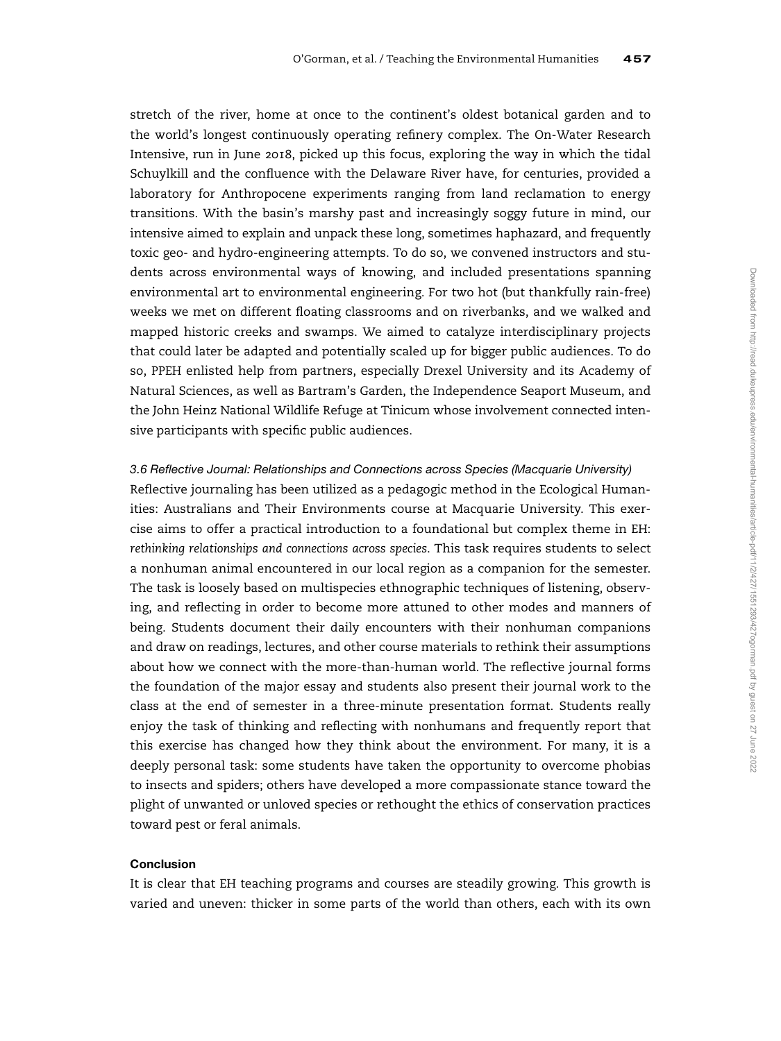stretch of the river, home at once to the continent's oldest botanical garden and to the world's longest continuously operating refinery complex. The On-Water Research Intensive, run in June 2018, picked up this focus, exploring the way in which the tidal Schuylkill and the confluence with the Delaware River have, for centuries, provided a laboratory for Anthropocene experiments ranging from land reclamation to energy transitions. With the basin's marshy past and increasingly soggy future in mind, our intensive aimed to explain and unpack these long, sometimes haphazard, and frequently toxic geo- and hydro-engineering attempts. To do so, we convened instructors and students across environmental ways of knowing, and included presentations spanning environmental art to environmental engineering. For two hot (but thankfully rain-free) weeks we met on different floating classrooms and on riverbanks, and we walked and mapped historic creeks and swamps. We aimed to catalyze interdisciplinary projects that could later be adapted and potentially scaled up for bigger public audiences. To do so, PPEH enlisted help from partners, especially Drexel University and its Academy of Natural Sciences, as well as Bartram's Garden, the Independence Seaport Museum, and the John Heinz National Wildlife Refuge at Tinicum whose involvement connected intensive participants with specific public audiences.

#### 3.6 Reflective Journal: Relationships and Connections across Species (Macquarie University)

Reflective journaling has been utilized as a pedagogic method in the Ecological Humanities: Australians and Their Environments course at Macquarie University. This exercise aims to offer a practical introduction to a foundational but complex theme in EH: rethinking relationships and connections across species. This task requires students to select a nonhuman animal encountered in our local region as a companion for the semester. The task is loosely based on multispecies ethnographic techniques of listening, observing, and reflecting in order to become more attuned to other modes and manners of being. Students document their daily encounters with their nonhuman companions and draw on readings, lectures, and other course materials to rethink their assumptions about how we connect with the more-than-human world. The reflective journal forms the foundation of the major essay and students also present their journal work to the class at the end of semester in a three-minute presentation format. Students really enjoy the task of thinking and reflecting with nonhumans and frequently report that this exercise has changed how they think about the environment. For many, it is a deeply personal task: some students have taken the opportunity to overcome phobias to insects and spiders; others have developed a more compassionate stance toward the plight of unwanted or unloved species or rethought the ethics of conservation practices toward pest or feral animals.

## Conclusion

It is clear that EH teaching programs and courses are steadily growing. This growth is varied and uneven: thicker in some parts of the world than others, each with its own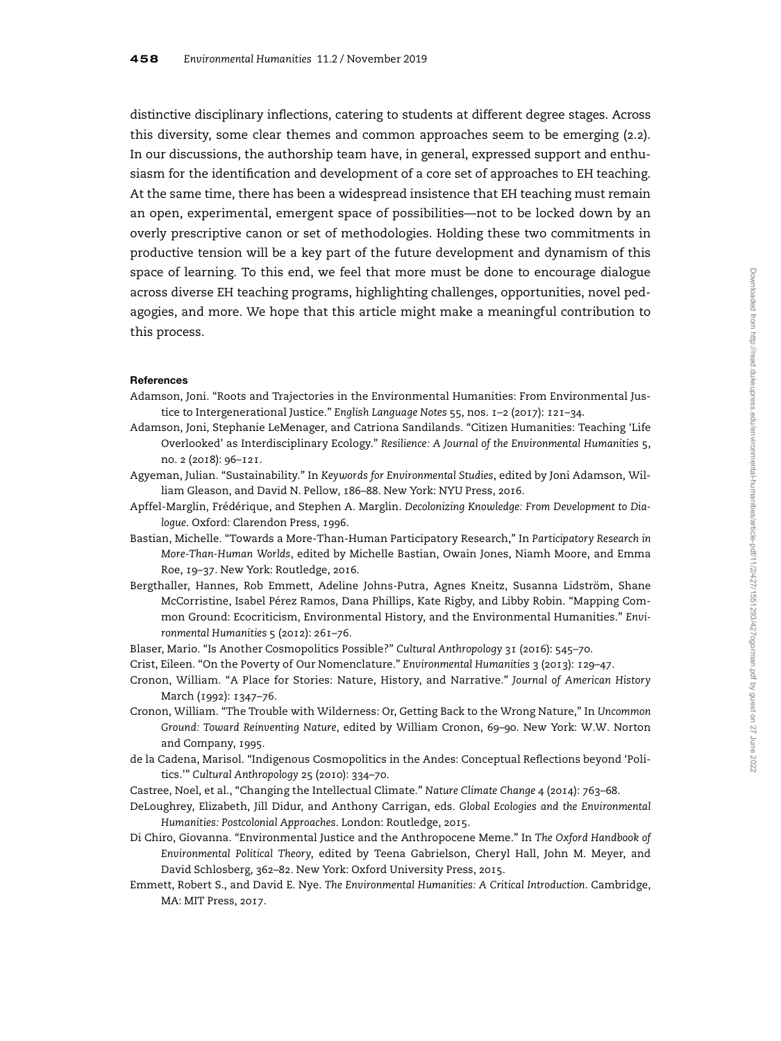distinctive disciplinary inflections, catering to students at different degree stages. Across this diversity, some clear themes and common approaches seem to be emerging (2.2). In our discussions, the authorship team have, in general, expressed support and enthusiasm for the identification and development of a core set of approaches to EH teaching. At the same time, there has been a widespread insistence that EH teaching must remain an open, experimental, emergent space of possibilities—not to be locked down by an overly prescriptive canon or set of methodologies. Holding these two commitments in productive tension will be a key part of the future development and dynamism of this space of learning. To this end, we feel that more must be done to encourage dialogue across diverse EH teaching programs, highlighting challenges, opportunities, novel pedagogies, and more. We hope that this article might make a meaningful contribution to this process.

#### References

- Adamson, Joni. "Roots and Trajectories in the Environmental Humanities: From Environmental Justice to Intergenerational Justice." English Language Notes 55, nos. 1–2 (2017): 121–34.
- Adamson, Joni, Stephanie LeMenager, and Catriona Sandilands. "Citizen Humanities: Teaching 'Life Overlooked' as Interdisciplinary Ecology." Resilience: A Journal of the Environmental Humanities 5, no. 2 (2018): 96–121.
- Agyeman, Julian. "Sustainability." In Keywords for Environmental Studies, edited by Joni Adamson, William Gleason, and David N. Pellow, 186–88. New York: NYU Press, 2016.
- Apffel-Marglin, Frédérique, and Stephen A. Marglin. Decolonizing Knowledge: From Development to Dialogue. Oxford: Clarendon Press, 1996.
- Bastian, Michelle. "Towards a More-Than-Human Participatory Research," In Participatory Research in More-Than-Human Worlds, edited by Michelle Bastian, Owain Jones, Niamh Moore, and Emma Roe, 19–37. New York: Routledge, 2016.
- Bergthaller, Hannes, Rob Emmett, Adeline Johns-Putra, Agnes Kneitz, Susanna Lidström, Shane McCorristine, Isabel Pérez Ramos, Dana Phillips, Kate Rigby, and Libby Robin. "Mapping Common Ground: Ecocriticism, Environmental History, and the Environmental Humanities." Environmental Humanities 5 (2012): 261–76.
- Blaser, Mario. "Is Another Cosmopolitics Possible?" Cultural Anthropology 31 (2016): 545–70.
- Crist, Eileen. "On the Poverty of Our Nomenclature." Environmental Humanities 3 (2013): 129–47.
- Cronon, William. "A Place for Stories: Nature, History, and Narrative." Journal of American History March (1992): 1347–76.
- Cronon, William. "The Trouble with Wilderness: Or, Getting Back to the Wrong Nature," In Uncommon Ground: Toward Reinventing Nature, edited by William Cronon, 69–90. New York: W.W. Norton and Company, 1995.
- de la Cadena, Marisol. "Indigenous Cosmopolitics in the Andes: Conceptual Reflections beyond 'Politics.'" Cultural Anthropology 25 (2010): 334–70.
- Castree, Noel, et al., "Changing the Intellectual Climate." Nature Climate Change 4 (2014): 763–68.
- DeLoughrey, Elizabeth, Jill Didur, and Anthony Carrigan, eds. Global Ecologies and the Environmental Humanities: Postcolonial Approaches. London: Routledge, 2015.
- Di Chiro, Giovanna. "Environmental Justice and the Anthropocene Meme." In The Oxford Handbook of Environmental Political Theory, edited by Teena Gabrielson, Cheryl Hall, John M. Meyer, and David Schlosberg, 362–82. New York: Oxford University Press, 2015.
- Emmett, Robert S., and David E. Nye. The Environmental Humanities: A Critical Introduction. Cambridge, MA: MIT Press, 2017.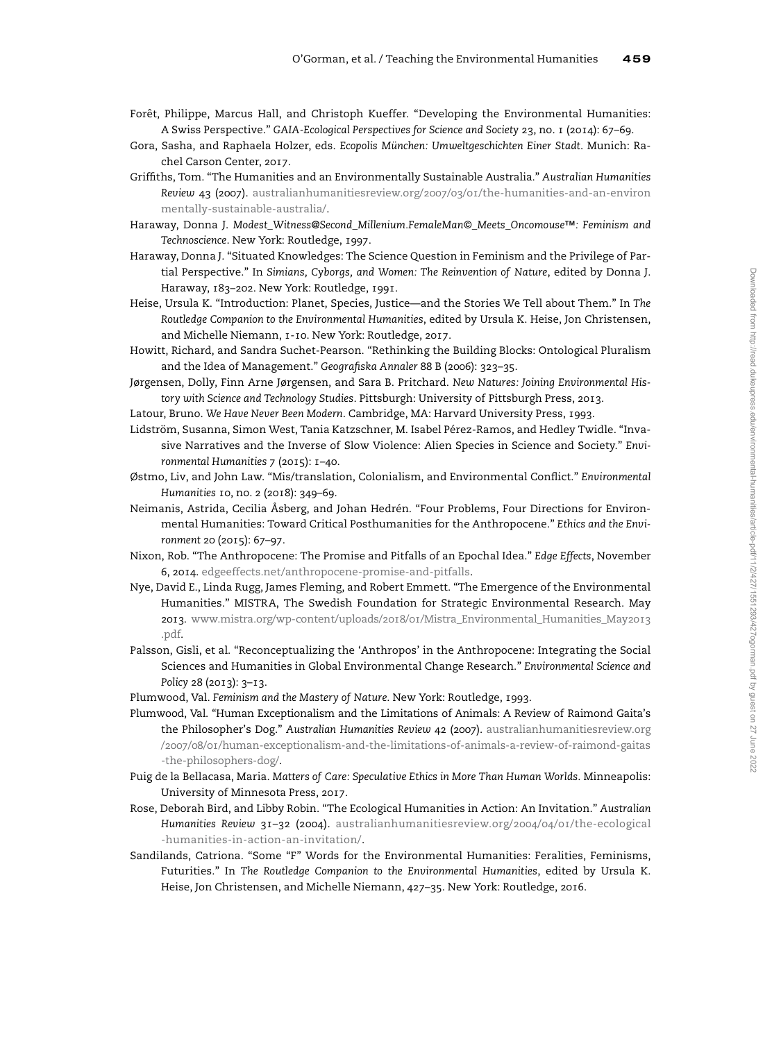- Forêt, Philippe, Marcus Hall, and Christoph Kueffer. "Developing the Environmental Humanities: A Swiss Perspective." GAIA-Ecological Perspectives for Science and Society 23, no. 1 (2014): 67–69.
- Gora, Sasha, and Raphaela Holzer, eds. Ecopolis München: Umweltgeschichten Einer Stadt. Munich: Rachel Carson Center, 2017.
- Griffiths, Tom. "The Humanities and an Environmentally Sustainable Australia." Australian Humanities Review 43 (2007). [australianhumanitiesreview.org/2007/03/01/the-humanities-and-an-environ](http://australianhumanitiesreview.org/2007/03/01/the-humanities-and-an-environmentally-sustainable-australia/) [mentally-sustainable-australia/](http://australianhumanitiesreview.org/2007/03/01/the-humanities-and-an-environmentally-sustainable-australia/).
- Haraway, Donna J. Modest\_Witness@Second\_Millenium.FemaleMan©\_Meets\_Oncomouse™: Feminism and Technoscience. New York: Routledge, 1997.
- Haraway, Donna J. "Situated Knowledges: The Science Question in Feminism and the Privilege of Partial Perspective." In Simians, Cyborgs, and Women: The Reinvention of Nature, edited by Donna J. Haraway, 183–202. New York: Routledge, 1991.
- Heise, Ursula K. "Introduction: Planet, Species, Justice—and the Stories We Tell about Them." In The Routledge Companion to the Environmental Humanities, edited by Ursula K. Heise, Jon Christensen, and Michelle Niemann, 1-10. New York: Routledge, 2017.
- Howitt, Richard, and Sandra Suchet-Pearson. "Rethinking the Building Blocks: Ontological Pluralism and the Idea of Management." Geografiska Annaler 88 B (2006): 323–35.
- Jørgensen, Dolly, Finn Arne Jørgensen, and Sara B. Pritchard. New Natures: Joining Environmental History with Science and Technology Studies. Pittsburgh: University of Pittsburgh Press, 2013.
- Latour, Bruno. We Have Never Been Modern. Cambridge, MA: Harvard University Press, 1993.
- Lidström, Susanna, Simon West, Tania Katzschner, M. Isabel Pérez-Ramos, and Hedley Twidle. "Invasive Narratives and the Inverse of Slow Violence: Alien Species in Science and Society." Environmental Humanities 7 (2015): 1–40.
- Østmo, Liv, and John Law. "Mis/translation, Colonialism, and Environmental Conflict." Environmental Humanities 10, no. 2 (2018): 349–69.
- Neimanis, Astrida, Cecilia Åsberg, and Johan Hedrén. "Four Problems, Four Directions for Environmental Humanities: Toward Critical Posthumanities for the Anthropocene." Ethics and the Environment 20 (2015): 67–97.
- Nixon, Rob. "The Anthropocene: The Promise and Pitfalls of an Epochal Idea." Edge Effects, November 6, 2014. [edgeeffects.net/anthropocene-promise-and-pitfalls.](http://edgeeffects.net/anthropocene-promise-and-pitfalls)
- Nye, David E., Linda Rugg, James Fleming, and Robert Emmett. "The Emergence of the Environmental Humanities." MISTRA, The Swedish Foundation for Strategic Environmental Research. May 2013. [www.mistra.org/wp-content/uploads/2018/01/Mistra\\_Environmental\\_Humanities\\_May2013](http://www.mistra.org/wp-content/uploads/2018/01/Mistra_Environmental_Humanities_May2013.pdf) [.pdf](http://www.mistra.org/wp-content/uploads/2018/01/Mistra_Environmental_Humanities_May2013.pdf).
- Palsson, Gisli, et al. "Reconceptualizing the 'Anthropos' in the Anthropocene: Integrating the Social Sciences and Humanities in Global Environmental Change Research." Environmental Science and Policy 28 (2013): 3–13.
- Plumwood, Val. Feminism and the Mastery of Nature. New York: Routledge, 1993.
- Plumwood, Val. "Human Exceptionalism and the Limitations of Animals: A Review of Raimond Gaita's the Philosopher's Dog." Australian Humanities Review 42 (2007). [australianhumanitiesreview.org](http://australianhumanitiesreview.org/2007/08/01/human-exceptionalism-and-the-limitations-of-animals-a-review-of-raimond-gaitas-the-philosophers-dog/) [/2007/08/01/human-exceptionalism-and-the-limitations-of-animals-a-review-of-raimond-gaitas](http://australianhumanitiesreview.org/2007/08/01/human-exceptionalism-and-the-limitations-of-animals-a-review-of-raimond-gaitas-the-philosophers-dog/) [-the-philosophers-dog/](http://australianhumanitiesreview.org/2007/08/01/human-exceptionalism-and-the-limitations-of-animals-a-review-of-raimond-gaitas-the-philosophers-dog/).
- Puig de la Bellacasa, Maria. Matters of Care: Speculative Ethics in More Than Human Worlds. Minneapolis: University of Minnesota Press, 2017.
- Rose, Deborah Bird, and Libby Robin. "The Ecological Humanities in Action: An Invitation." Australian Humanities Review 31–32 (2004). [australianhumanitiesreview.org/2004/04/01/the-ecological](http://australianhumanitiesreview.org/2004/04/01/the-ecological-humanities-in-action-an-invitation/) [-humanities-in-action-an-invitation/](http://australianhumanitiesreview.org/2004/04/01/the-ecological-humanities-in-action-an-invitation/).
- Sandilands, Catriona. "Some "F" Words for the Environmental Humanities: Feralities, Feminisms, Futurities." In The Routledge Companion to the Environmental Humanities, edited by Ursula K. Heise, Jon Christensen, and Michelle Niemann, 427–35. New York: Routledge, 2016.